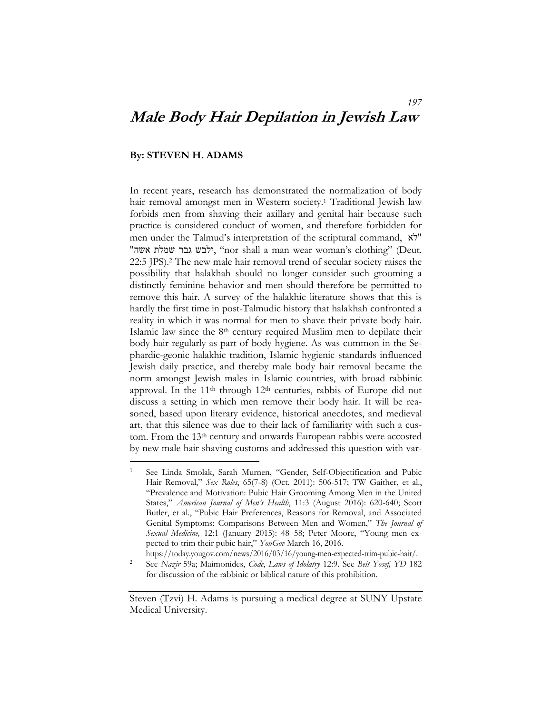# **Male Body Hair Depilation in Jewish Law**

#### **By: STEVEN H. ADAMS**

-

In recent years, research has demonstrated the normalization of body hair removal amongst men in Western society.<sup>1</sup> Traditional Jewish law forbids men from shaving their axillary and genital hair because such practice is considered conduct of women, and therefore forbidden for men under the Talmud's interpretation of the scriptural command, לא" "אה", ילבש גבר שמלת אשה, " nor shall a man wear woman's clothing" (Deut. 22:5 JPS).2 The new male hair removal trend of secular society raises the possibility that halakhah should no longer consider such grooming a distinctly feminine behavior and men should therefore be permitted to remove this hair. A survey of the halakhic literature shows that this is hardly the first time in post-Talmudic history that halakhah confronted a reality in which it was normal for men to shave their private body hair. Islamic law since the  $8<sup>th</sup>$  century required Muslim men to depilate their body hair regularly as part of body hygiene. As was common in the Sephardic-geonic halakhic tradition, Islamic hygienic standards influenced Jewish daily practice, and thereby male body hair removal became the norm amongst Jewish males in Islamic countries, with broad rabbinic approval. In the 11<sup>th</sup> through 12<sup>th</sup> centuries, rabbis of Europe did not discuss a setting in which men remove their body hair. It will be reasoned, based upon literary evidence, historical anecdotes, and medieval art, that this silence was due to their lack of familiarity with such a custom. From the 13th century and onwards European rabbis were accosted by new male hair shaving customs and addressed this question with var-

<sup>1</sup> See Linda Smolak, Sarah Murnen, "Gender, Self-Objectification and Pubic Hair Removal," *Sex Roles*, 65(7-8) (Oct. 2011): 506-517; TW Gaither, et al., "Prevalence and Motivation: Pubic Hair Grooming Among Men in the United States," *American Journal of Men's Health*, 11:3 (August 2016): 620-640; Scott Butler, et al., "Pubic Hair Preferences, Reasons for Removal, and Associated Genital Symptoms: Comparisons Between Men and Women," *The Journal of Sexual Medicine,* 12:1 (January 2015): 48–58; Peter Moore, "Young men expected to trim their pubic hair," *YouGov* March 16, 2016.

https://today.yougov.com/news/2016/03/16/young-men-expected-trim-pubic-hair/.

<sup>2</sup> See *Nazir* 59a; Maimonides, *Code*, *Laws of Idolatry* 12:9. See *Beit Yosef, YD* 182 for discussion of the rabbinic or biblical nature of this prohibition.

Steven (Tzvi) H. Adams is pursuing a medical degree at SUNY Upstate Medical University.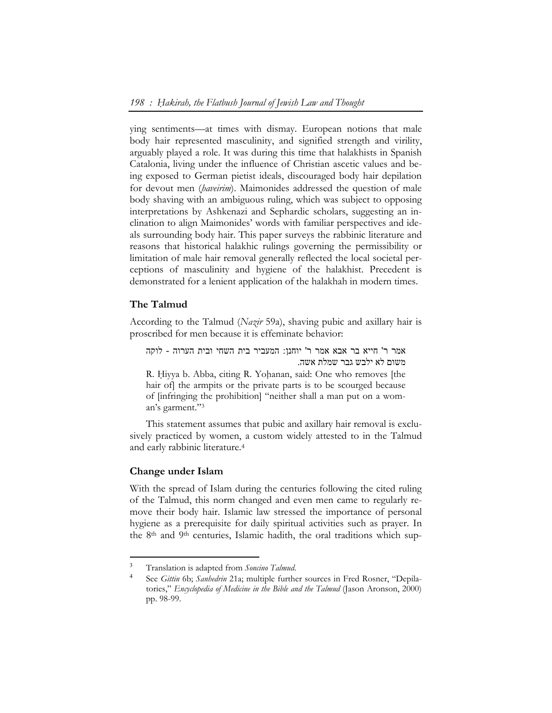ying sentiments—at times with dismay. European notions that male body hair represented masculinity, and signified strength and virility, arguably played a role. It was during this time that halakhists in Spanish Catalonia, living under the influence of Christian ascetic values and being exposed to German pietist ideals, discouraged body hair depilation for devout men (*ḥaveirim*). Maimonides addressed the question of male body shaving with an ambiguous ruling, which was subject to opposing interpretations by Ashkenazi and Sephardic scholars, suggesting an inclination to align Maimonides' words with familiar perspectives and ideals surrounding body hair. This paper surveys the rabbinic literature and reasons that historical halakhic rulings governing the permissibility or limitation of male hair removal generally reflected the local societal perceptions of masculinity and hygiene of the halakhist. Precedent is demonstrated for a lenient application of the halakhah in modern times.

# **The Talmud**

According to the Talmud (*Nazir* 59a), shaving pubic and axillary hair is proscribed for men because it is effeminate behavior:

אמר ר' חייא בר אבא אמר ר' יוחנן: המעביר בית השחי ובית הערוה - לוקה משום לא ילבש גבר שמלת אשה. R. Hiyya b. Abba, citing R. Yohanan, said: One who removes [the

hair of] the armpits or the private parts is to be scourged because of [infringing the prohibition] "neither shall a man put on a woman's garment."3

This statement assumes that pubic and axillary hair removal is exclusively practiced by women, a custom widely attested to in the Talmud and early rabbinic literature.4

# **Change under Islam**

 $\overline{a}$ 

With the spread of Islam during the centuries following the cited ruling of the Talmud, this norm changed and even men came to regularly remove their body hair. Islamic law stressed the importance of personal hygiene as a prerequisite for daily spiritual activities such as prayer. In the 8th and 9th centuries, Islamic hadith, the oral traditions which sup-

<sup>3</sup> Translation is adapted from *Soncino Talmud*.

<sup>4</sup> See *Gittin* 6b; *Sanhedrin* 21a; multiple further sources in Fred Rosner, "Depilatories," *Encyclopedia of Medicine in the Bible and the Talmud* (Jason Aronson, 2000) pp. 98-99.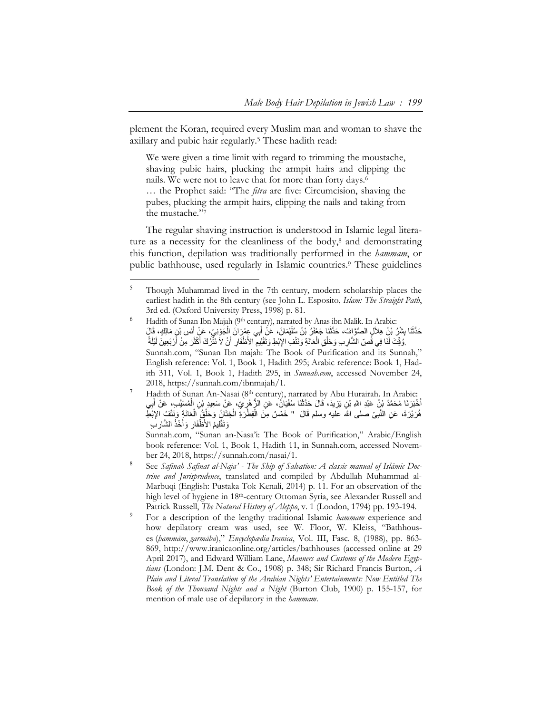plement the Koran, required every Muslim man and woman to shave the axillary and pubic hair regularly.5 These hadith read:

We were given a time limit with regard to trimming the moustache, shaving pubic hairs, plucking the armpit hairs and clipping the nails. We were not to leave that for more than forty days.6 … the Prophet said: "The *fitra* are five: Circumcision, shaving the pubes, plucking the armpit hairs, clipping the nails and taking from the mustache."7

The regular shaving instruction is understood in Islamic legal literature as a necessity for the cleanliness of the body, $8$  and demonstrating this function, depilation was traditionally performed in the *hammam*, or public bathhouse, used regularly in Islamic countries.9 These guidelines

-

- <sup>6</sup> Hadith of Sunan Ibn Majah (9<sup>th</sup> century), narrated by Anas ibn Malik. In Arabic: حَدَّثَنَا بِشْرٌ، بْنُ هِلاَلٍ الصَّوَّافُ، حَدَّثَنَا جَعْفَرُ بْنُ سُلَيْمَانَ، عَنْ أَبِي عِمْرَ انَ الْجُوْنِيِّ، عَنْ أَنَس بْنِ مَالِكٍ، قَالَ .وُقِّتَ لَنَا فِي قَُصِّ الشَّارِ بِ وَحَلْقِ الْعَاذَةِ وَنَتْفِ الإِبْطِ وَتَقْلِيمِ الأَطْفَارِ أَنْ لاَ نَثْرُكَ أَكْثَرَ مِنْ أَرْبَعِينَ لَيْلَةً ֧֖֖֖֖֖֖֧֚֚֚֚֚֚֚֝֟֟֓֕<u>֟</u> ًَََْSunnah.com, "Sunan Ibn majah: The Book of Purification and its Sunnah," English reference: Vol. 1, Book 1, Hadith 295; Arabic reference: Book 1, Hadith 311, Vol. 1, Book 1, Hadith 295, in *Sunnah.com*, accessed November 24, 2018, https://sunnah.com/ibnmajah/1.
- Hadith of Sunan An-Nasai (8th century), narrated by Abu Hurairah. In Arabic: أَخْبَرَ نَا مُحَمَّدُ بْنُ عَبْدِ اللَّهِ بْنِ يَزِيدَ، قَالَ حَدَّثَنَا سُفْيَانُ، عَنِ الزُّ هْرٍ يِّ، عَنْ سَعِيدٍ بْنِ الْمُسَيَّبِ، عَنْ أَبِي َهُرَيْرَةَ، عَنِ النَّبِيِّ صلى الله عليه وسلم قَالَ " خَمْسٌ مِنَ الْفِطْرَةِ الْخِتَانُ وَخَلْقُ الْعَانَةِ وَنَتْفُ الإِبْطِّ ِْ لِيمُ الأَظْفَارِ وَأَخْذُ الشَّارِبِ ا<br>ا

Sunnah.com, "Sunan an-Nasa'i: The Book of Purification," Arabic/English book reference: Vol. 1, Book 1, Hadith 11, in Sunnah.com, accessed November 24, 2018, https://sunnah.com/nasai/1.

- <sup>8</sup> See *Safinah Safinat al-Naja' The Ship of Salvation: A classic manual of Islāmic Doctrine and Jurisprudence*, translated and compiled by Abdullah Muhammad al-Marbuqi (English: Pustaka Tok Kenali, 2014) p. 11. For an observation of the high level of hygiene in 18<sup>th</sup>-century Ottoman Syria, see Alexander Russell and Patrick Russell, *The Natural History of Aleppo*, v. 1 (London, 1794) pp. 193-194.
- <sup>9</sup> For a description of the lengthy traditional Islamic *hammam* experience and how depilatory cream was used, see W. Floor, W. Kleiss, "Bathhouses (*ḥammām*, *garmāba*)," *Encyclopædia Iranica*, Vol. III, Fasc. 8, (1988), pp. 863- 869, http://www.iranicaonline.org/articles/bathhouses (accessed online at 29 April 2017), and Edward William Lane, *Manners and Customs of the Modern Egyptians* (London: J.M. Dent & Co., 1908) p. 348; Sir Richard Francis Burton, *A Plain and Literal Translation of the Arabian Nights' Entertainments: Now Entitled The Book of the Thousand Nights and a Night* (Burton Club, 1900) p. 155-157, for mention of male use of depilatory in the *hammam*.

<sup>&</sup>lt;sup>5</sup> Though Muhammad lived in the 7th century, modern scholarship places the earliest hadith in the 8th century (see John L. Esposito, *Islam: The Straight Path*, 3rd ed. (Oxford University Press, 1998) p. 81.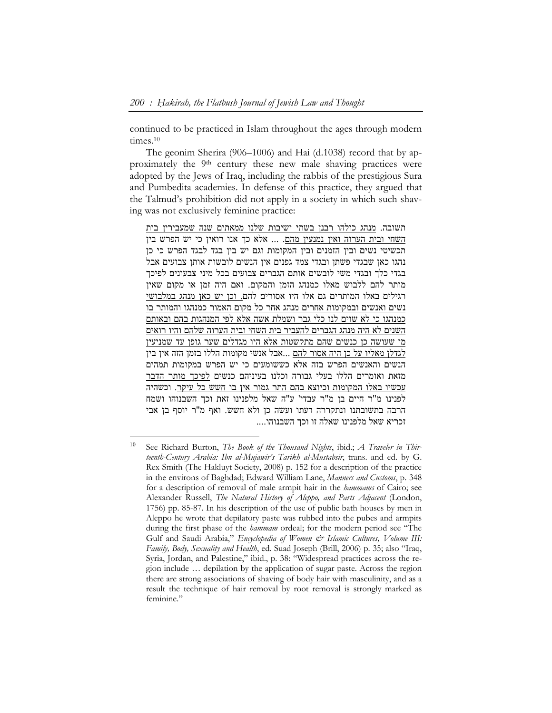continued to be practiced in Islam throughout the ages through modern times.<sup>10</sup>

The geonim Sherira (906–1006) and Hai (d.1038) record that by approximately the 9<sup>th</sup> century these new male shaving practices were adopted by the Jews of Iraq, including the rabbis of the prestigious Sura and Pumbedita academies. In defense of this practice, they argued that the Talmud's prohibition did not apply in a society in which such shaving was not exclusively feminine practice:

תשובה. מנהג כולהו רבנן בשתי ישיבות שלנו ממאתים שנה שמעבירין בית השחי ובית הערוה ואין נמנעין מהם. ... אלא כך אנו רואין כי יש הפרש בין תכשיטי נשים ובין הזמנים ובין המקומות וגם יש בין בגד לבגד הפרש כי כן נהגו כאן שבגדי פשתן ובגדי צמד גפנים אין הנשים לובשות אותן צבועים אבל בגדי כלך ובגדי משי לובשים אותם הגברים צבועים בכל מיני צבעונים לפיכך מותר להם ללבוש מאלו כמנהג הזמן והמקום. ואם היה זמן או מקום שאין רגילים באלו המותרים גם אלו היו אסורים להם. וכן יש כאן מנהג במלבושי נשים ואנשים ובמקומות אחרים מנהג אחר כל מקום האמור כמנהגו והמותר בו כמנהגו כי לא שוים לנו כלי גבר ושמלת אשה אלא לפי המנהגות בהם ובאותם השנים לא היה מנהג הגברים להעביר בית השחי ובית הערוה שלהם והיו רואים מי שעושה כן כנשים שהם מתקשטות אלא היו מגדלים שער גופן עד שמניעין לגדלן מאליו על כן היה אסור להם ...אבל אנשי מקומות הללו בזמן הזה אין בין הנשים והאנשים הפרש בזה אלא כששומעים כי יש הפרש במקומות תמהים מזאת ואומרים הללו בעלי גבורה וכלנו בעיניהם כנשים לפיכך מותר הדבר עכשיו באלו המקומות וכיוצא בהם התר גמור אין בו חשש כל עיקר. וכשהיה לפנינו מ"ר חיים בן מ"ר עבדי' ע"ה שאל מלפנינו זאת וכך השבנוהו ושמח הרבה בתשובתנו ונתקררה דעתו ועשה כן ולא חשש. ואף מ"ר יוסף בן אבי זכריא שאל מלפנינו שאלה זו וכך השבנוהו....

 $\overline{a}$ 

<sup>10</sup> See Richard Burton, *The Book of the Thousand Nights*, ibid.; *A Traveler in Thirteenth-Century Arabia: Ibn al-Mujawir's Tarikh al-Mustabsir*, trans. and ed. by G. Rex Smith (The Hakluyt Society, 2008) p. 152 for a description of the practice in the environs of Baghdad; Edward William Lane, *Manners and Customs*, p. 348 for a description of removal of male armpit hair in the *hammams* of Cairo; see Alexander Russell, *The Natural History of Aleppo, and Parts Adjacent* (London, 1756) pp. 85-87. In his description of the use of public bath houses by men in Aleppo he wrote that depilatory paste was rubbed into the pubes and armpits during the first phase of the *hammam* ordeal; for the modern period see "The Gulf and Saudi Arabia," *Encyclopedia of Women & Islamic Cultures, Volume III*: *Family, Body, Sexuality and Health*, ed. Suad Joseph (Brill, 2006) p. 35; also "Iraq, Syria, Jordan, and Palestine," ibid., p. 38: "Widespread practices across the region include … depilation by the application of sugar paste. Across the region there are strong associations of shaving of body hair with masculinity, and as a result the technique of hair removal by root removal is strongly marked as feminine."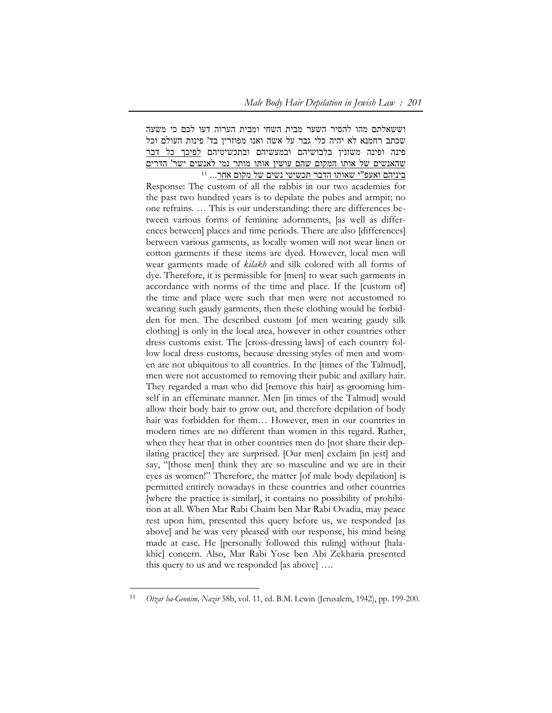וששאלתם מהו להסיר השער מבית השחי ומבית הערוה דעו לכם כי משעה שכתב רחמנא לא יהיה כלי גבר על אשה ואנו מפוזרין בד' פינות העולם וכל פינה ופינה משונין בלבושיהם ובמעשיהם ובתכשיטיהם לפיכך כל דבר שהאנשים של אותו המקום שהם עושין אותו מותר נמי לאנשים ישר' הדרים 11 ביניהם ואעפ"י שאותו הדבר תכשיטי נשים של מקום אחר...

Response: The custom of all the rabbis in our two academies for the past two hundred years is to depilate the pubes and armpit; no one refrains. … This is our understanding: there are differences between various forms of feminine adornments, [as well as differences between] places and time periods. There are also [differences] between various garments, as locally women will not wear linen or cotton garments if these items are dyed. However, local men will wear garments made of *kilakh* and silk colored with all forms of dye. Therefore, it is permissible for [men] to wear such garments in accordance with norms of the time and place. If the [custom of] the time and place were such that men were not accustomed to wearing such gaudy garments, then these clothing would be forbidden for men. The described custom [of men wearing gaudy silk clothing] is only in the local area, however in other countries other dress customs exist. The [cross-dressing laws] of each country follow local dress customs, because dressing styles of men and women are not ubiquitous to all countries. In the [times of the Talmud], men were not accustomed to removing their pubic and axillary hair. They regarded a man who did [remove this hair] as grooming himself in an effeminate manner. Men [in times of the Talmud] would allow their body hair to grow out, and therefore depilation of body hair was forbidden for them... However, men in our countries in modern times are no different than women in this regard. Rather, when they hear that in other countries men do [not share their depilating practice] they are surprised. [Our men] exclaim [in jest] and say, "[those men] think they are so masculine and we are in their eyes as women!" Therefore, the matter [of male body depilation] is permitted entirely nowadays in these countries and other countries [where the practice is similar], it contains no possibility of prohibition at all. When Mar Rabi Chaim ben Mar Rabi Ovadia, may peace rest upon him, presented this query before us, we responded [as above] and he was very pleased with our response, his mind being made at ease. He [personally followed this ruling] without [halakhic] concern. Also, Mar Rabi Yose ben Abi Zekharia presented this query to us and we responded [as above] ….

 $\overline{a}$ 

<sup>11</sup> *Otzar ha-Geonim, Nazir* 58b, vol. 11, ed. B.M. Lewin (Jerusalem, 1942), pp. 199-200.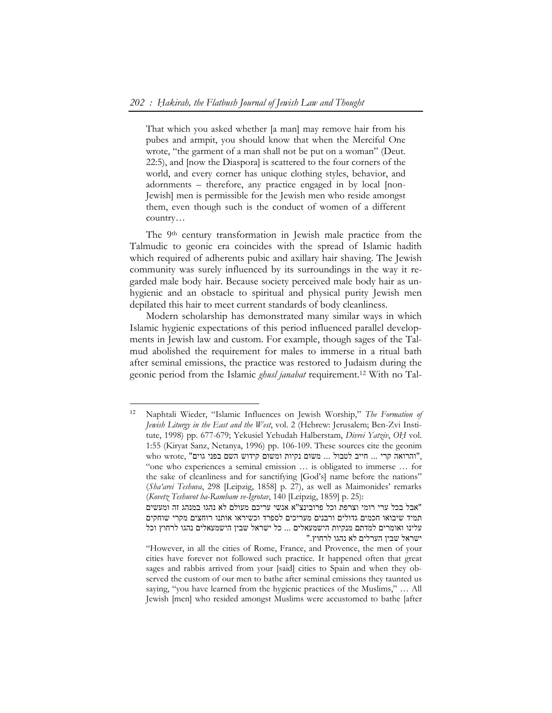That which you asked whether [a man] may remove hair from his pubes and armpit, you should know that when the Merciful One wrote, "the garment of a man shall not be put on a woman" (Deut. 22:5), and [now the Diaspora] is scattered to the four corners of the world, and every corner has unique clothing styles, behavior, and adornments – therefore, any practice engaged in by local [non-Jewish] men is permissible for the Jewish men who reside amongst them, even though such is the conduct of women of a different country…

The 9th century transformation in Jewish male practice from the Talmudic to geonic era coincides with the spread of Islamic hadith which required of adherents pubic and axillary hair shaving. The Jewish community was surely influenced by its surroundings in the way it regarded male body hair. Because society perceived male body hair as unhygienic and an obstacle to spiritual and physical purity Jewish men depilated this hair to meet current standards of body cleanliness.

Modern scholarship has demonstrated many similar ways in which Islamic hygienic expectations of this period influenced parallel developments in Jewish law and custom. For example, though sages of the Talmud abolished the requirement for males to immerse in a ritual bath after seminal emissions, the practice was restored to Judaism during the geonic period from the Islamic *ghusl janabat* requirement.12 With no Tal-

<sup>12</sup> Naphtali Wieder, "Islamic Influences on Jewish Worship," *The Formation of Jewish Liturgy in the East and the West*, vol. 2 (Hebrew: Jerusalem; Ben-Zvi Institute, 1998) pp. 677-679; Yekusiel Yehudah Halberstam, *Divrei Yatziv*, *OḤ* vol. 1:55 (Kiryat Sanz, Netanya, 1996) pp. 106-109. These sources cite the geonim ,"והרואה קרי ... חייב לטבול ... משום נקיות ומשום קידוש השם בפני גוים" ,wrote who "one who experiences a seminal emission … is obligated to immerse … for the sake of cleanliness and for sanctifying [God's] name before the nations" (*Sha'arei Teshuva*, 298 [Leipzig, 1858] p. 27), as well as Maimonides' remarks (*Kovetz Teshuvot ha-Rambam ve-Igrotav*, 140 [Leipzig, 1859] p. 25):

<sup>&</sup>quot;אבל בכל ערי רומי וצרפת וכל פרובינצ"א אנשי עריכם מעולם לא נהגו במנהג זה ומעשים תמיד שיבואו חכמים גדולים ורבנים מעריכים לספרד וכשיראו אותנו רוחצים מקרי שוחקים עלינו ואומרים למדתם מנקיות הישמעאלים ... כל ישראל שבין הישמעאלים נהגו לרחוץ וכל ישראל שבין הערלים לא נהגו לרחוץ."

<sup>&</sup>quot;However, in all the cities of Rome, France, and Provence, the men of your cities have forever not followed such practice. It happened often that great sages and rabbis arrived from your [said] cities to Spain and when they observed the custom of our men to bathe after seminal emissions they taunted us saying, "you have learned from the hygienic practices of the Muslims," … All Jewish [men] who resided amongst Muslims were accustomed to bathe [after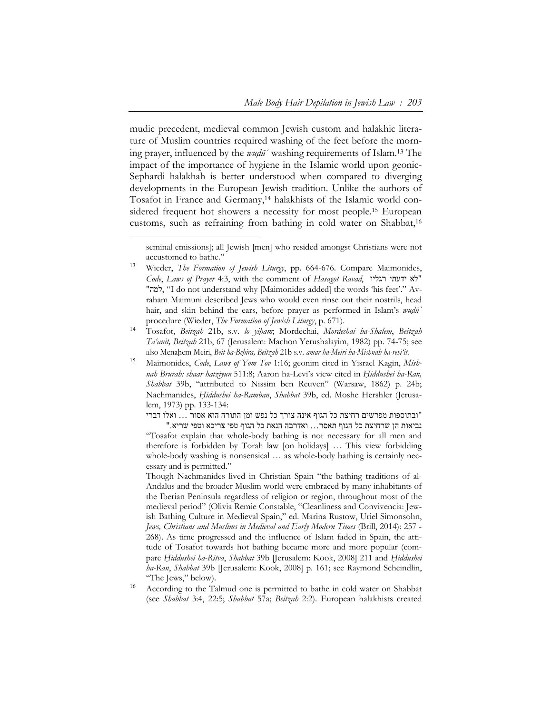mudic precedent, medieval common Jewish custom and halakhic literature of Muslim countries required washing of the feet before the morning prayer, influenced by the *wuḍūʾ* washing requirements of Islam.13 The impact of the importance of hygiene in the Islamic world upon geonic-Sephardi halakhah is better understood when compared to diverging developments in the European Jewish tradition. Unlike the authors of Tosafot in France and Germany,<sup>14</sup> halakhists of the Islamic world considered frequent hot showers a necessity for most people.<sup>15</sup> European customs, such as refraining from bathing in cold water on Shabbat,<sup>16</sup>

 $\overline{a}$ 

"ובתוספות מפרשים רחיצת כל הגוף אינה צורך כל נפש ומן התורה הוא אסור ... ואלו דברי נביאות הן שרחיצת כל הגוף תאסר... ואדרבה הנאת כל הגוף טפי צריכא וטפי שריא."

"Tosafot explain that whole-body bathing is not necessary for all men and therefore is forbidden by Torah law [on holidays] … This view forbidding whole-body washing is nonsensical ... as whole-body bathing is certainly necessary and is permitted."

Though Nachmanides lived in Christian Spain "the bathing traditions of al-Andalus and the broader Muslim world were embraced by many inhabitants of the Iberian Peninsula regardless of religion or region, throughout most of the medieval period" (Olivia Remie Constable, "Cleanliness and Convivencia: Jewish Bathing Culture in Medieval Spain," ed. Marina Rustow, Uriel Simonsohn, *Jews, Christians and Muslims in Medieval and Early Modern Times* (Brill, 2014): 257 - 268). As time progressed and the influence of Islam faded in Spain, the attitude of Tosafot towards hot bathing became more and more popular (compare *Ḥiddushei ha-Ritva*, *Shabbat* 39b [Jerusalem: Kook, 2008] 211 and *Ḥiddushei ha-Ran*, *Shabbat* 39b [Jerusalem: Kook, 2008] p. 161; see Raymond Scheindlin, "The Jews," below).

seminal emissions]; all Jewish [men] who resided amongst Christians were not accustomed to bathe."

<sup>13</sup> Wieder, *The Formation of Jewish Liturgy*, pp. 664-676. Compare Maimonides, *Code*, *Laws of Prayer* 4:3, with the comment of *Hasagot Ravad*, רגליו ידעתי לא" "למה," I do not understand why [Maimonides added] the words 'his feet'." Avraham Maimuni described Jews who would even rinse out their nostrils, head hair, and skin behind the ears, before prayer as performed in Islam's *wuḍūʾ* procedure (Wieder, *The Formation of Jewish Liturgy*, p. 671).

<sup>14</sup> Tosafot, *Beitzah* 21b, s.v. *lo yiḥam*; Mordechai, *Mordechai ha-Shalem*, *Beitzah Ta'anit, Beitzah* 21b, 67 (Jerusalem: Machon Yerushalayim, 1982) pp. 74-75; see also Menaḥem Meiri, *Beit ha-Beḥira, Beitzah* 21b s.v. *amar ha-Meiri ha-Mishnah ha-revi'it*.

<sup>15</sup> Maimonides, *Code*, *Laws of Yom Tov* 1:16; geonim cited in Yisrael Kagin, *Mishnah Brurah: shaar hatziyun* 511:8; Aaron ha-Levi's view cited in *Ḥiddushei ha-Ran, Shabbat* 39b, "attributed to Nissim ben Reuven" (Warsaw, 1862) p. 24b; Nachmanides, *Ḥiddushei ha-Ramban*, *Shabbat* 39b, ed. Moshe Hershler (Jerusalem, 1973) pp. 133-134:

According to the Talmud one is permitted to bathe in cold water on Shabbat (see *Shabbat* 3:4, 22:5; *Shabbat* 57a; *Beitzah* 2:2). European halakhists created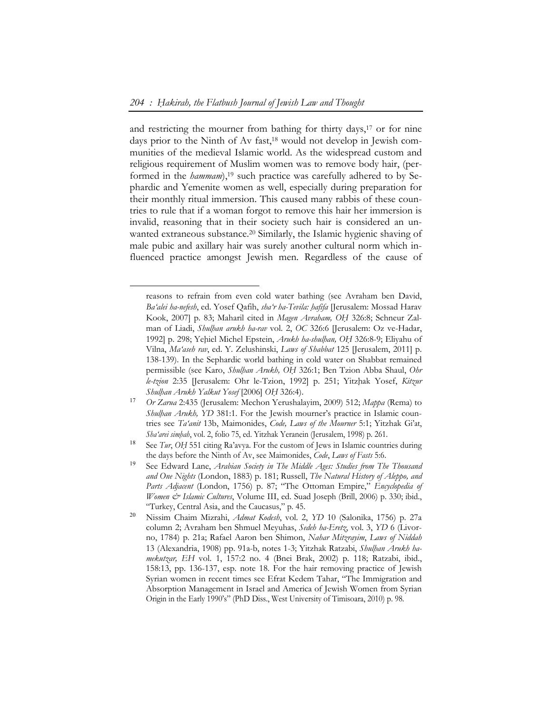-

and restricting the mourner from bathing for thirty days,<sup>17</sup> or for nine days prior to the Ninth of Av fast,<sup>18</sup> would not develop in Jewish communities of the medieval Islamic world. As the widespread custom and religious requirement of Muslim women was to remove body hair, (performed in the *hammam*),<sup>19</sup> such practice was carefully adhered to by Sephardic and Yemenite women as well, especially during preparation for their monthly ritual immersion. This caused many rabbis of these countries to rule that if a woman forgot to remove this hair her immersion is invalid, reasoning that in their society such hair is considered an unwanted extraneous substance.<sup>20</sup> Similarly, the Islamic hygienic shaving of male pubic and axillary hair was surely another cultural norm which influenced practice amongst Jewish men. Regardless of the cause of

reasons to refrain from even cold water bathing (see Avraham ben David, *Ba'alei ha-nefesh*, ed. Yosef Qafih, *sha'r ha-Tevila: ḥafifa* [Jerusalem: Mossad Harav Kook, 2007] p. 83; Maharil cited in *Magen Avraham, OḤ* 326:8; Schneur Zalman of Liadi, *Shulḥan arukh ha-rav* vol. 2, *OC* 326:6 [Jerusalem: Oz ve-Hadar, 1992] p. 298; Yeḥiel Michel Epstein, *Arukh ha-shulḥan, OḤ* 326:8-9; Eliyahu of Vilna, *Ma'aseh rav*, ed. Y. Zelushinski, *Laws of Shabbat* 125 [Jerusalem, 2011] p. 138-139). In the Sephardic world bathing in cold water on Shabbat remained permissible (see Karo, *Shulḥan Arukh, OḤ* 326:1; Ben Tzion Abba Shaul, *Ohr le-tzion* 2:35 [Jerusalem: Ohr le-Tzion, 1992] p. 251; Yitzḥak Yosef, *Kitzur Shulḥan Arukh Yalkut Yosef* [2006] *OḤ* 326:4).

<sup>17</sup> *Or Zarua* 2:435 (Jerusalem: Mechon Yerushalayim, 2009) 512; *Mappa* (Rema) to *Shulhan Arukh, YD* 381:1. For the Jewish mourner's practice in Islamic countries see *Ta'anit* 13b, Maimonides, *Code, Laws of the Mourner* 5:1; Yitzhak Gi'at, *Sha'arei simḥah*, vol. 2, folio 75, ed. Yitzhak Yeranein (Jerusalem, 1998) p. 261.

<sup>&</sup>lt;sup>18</sup> See *Tur*, *OH* 551 citing Ra'avya. For the custom of Jews in Islamic countries during the days before the Ninth of Av, see Maimonides, *Code*, *Laws of Fasts* 5:6.

<sup>19</sup> See Edward Lane, *Arabian Society in The Middle Ages: Studies from The Thousand and One Nights* (London, 1883) p. 181; Russell, *The Natural History of Aleppo, and Parts Adjacent* (London, 1756) p. 87; "The Ottoman Empire," *Encyclopedia of Women & Islamic Cultures*, Volume III, ed. Suad Joseph (Brill, 2006) p. 330; ibid., "Turkey, Central Asia, and the Caucasus," p. 45.

<sup>20</sup> Nissim Chaim Mizrahi, *Admat Kodesh*, vol. 2, *YD* 10 (Salonika, 1756) p. 27a column 2; Avraham ben Shmuel Meyuhas, *Sedeh ha-Eretz*, vol. 3, *YD* 6 (Livorno, 1784) p. 21a; Rafael Aaron ben Shimon, *Nahar Mitzrayim*, *Laws of Niddah* 13 (Alexandria, 1908) pp. 91a-b, notes 1-3; Yitzhak Ratzabi, *Shulḥan Arukh hamekutzar, EH* vol. 1, 157:2 no. 4 (Bnei Brak, 2002) p. 118; Ratzabi, ibid., 158:13, pp. 136-137, esp. note 18. For the hair removing practice of Jewish Syrian women in recent times see Efrat Kedem Tahar, "The Immigration and Absorption Management in Israel and America of Jewish Women from Syrian Origin in the Early 1990's" (PhD Diss., West University of Timisoara, 2010) p. 98.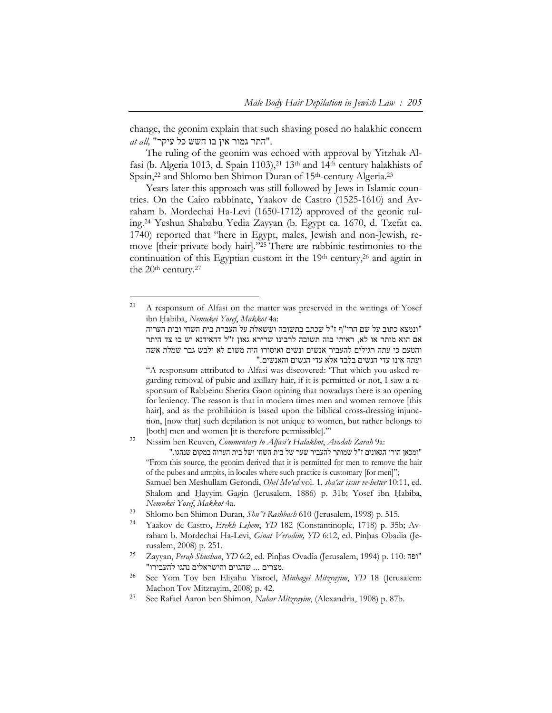change, the geonim explain that such shaving posed no halakhic concern ."התר גמור אין בו חשש כל עיקר" *,all at*

The ruling of the geonim was echoed with approval by Yitzhak Alfasi (b. Algeria 1013, d. Spain 1103),<sup>21</sup> 13<sup>th</sup> and 14<sup>th</sup> century halakhists of Spain,<sup>22</sup> and Shlomo ben Shimon Duran of 15<sup>th</sup>-century Algeria.<sup>23</sup>

Years later this approach was still followed by Jews in Islamic countries. On the Cairo rabbinate, Yaakov de Castro (1525-1610) and Avraham b. Mordechai Ha-Levi (1650-1712) approved of the geonic ruling.24 Yeshua Shababu Yedia Zayyan (b. Egypt ca. 1670, d. Tzefat ca. 1740) reported that "here in Egypt, males, Jewish and non-Jewish, remove [their private body hair]."25 There are rabbinic testimonies to the continuation of this Egyptian custom in the 19th century,<sup>26</sup> and again in the 20<sup>th</sup> century.<sup>27</sup>

- <sup>25</sup> Zayyan, *Perah Shushan*, *YD* 6:2, ed. Pinhas Ovadia (Jerusalem, 1994) p. 110: "ופה" "מצרים ... שהגוים והישראלים נהגו להעבירו.
- <sup>26</sup> See Yom Tov ben Eliyahu Yisroel, *Minhagei Mitzrayim*, *YD* 18 (Jerusalem: Machon Tov Mitzrayim, 2008) p. 42.
- <sup>27</sup> See Rafael Aaron ben Shimon, *Nahar Mitzrayim*, (Alexandria, 1908) p. 87b.

<sup>21</sup> A responsum of Alfasi on the matter was preserved in the writings of Yosef ibn Ḥabiba, *Nemukei Yosef*, *Makkot* 4a:

<sup>&</sup>quot;ונמצא כתוב על שם הרי"ף ז"ל שכתב בתשובה וששאלת על העברת בית השחי ובית הערוה אם הוא מותר או לא, ראיתי בזה תשובה לרבינו שרירא גאון ז"ל דהאידנא יש בו צד היתר והטעם כי עתה רגילים להעביר אנשים ונשים ואיסורו היה משום לא ילבש גבר שמלת אשה ועתה אינו עדי הנשים בלבד אלא עדי הנשים והאנשים."

<sup>&</sup>quot;A responsum attributed to Alfasi was discovered: 'That which you asked regarding removal of pubic and axillary hair, if it is permitted or not, I saw a responsum of Rabbeinu Sherira Gaon opining that nowadays there is an opening for leniency. The reason is that in modern times men and women remove [this hair], and as the prohibition is based upon the biblical cross-dressing injunction, [now that] such depilation is not unique to women, but rather belongs to [both] men and women [it is therefore permissible].'"

<sup>22</sup> Nissim ben Reuven, *Commentary to Alfasi's Halakhot*, *Avodah Zarah* 9a:

<sup>&</sup>quot;ומכאן הורו הגאונים ז"ל שמותר להעביר שער של בית השחי ושל בית הערוה במקום שנהגו." "From this source, the geonim derived that it is permitted for men to remove the hair of the pubes and armpits, in locales where such practice is customary [for men]";

Samuel ben Meshullam Gerondi, *Ohel Mo'ed* vol. 1, *sha'ar issur ve-hetter* 10:11, ed. Shalom and Hayyim Gagin (Jerusalem, 1886) p. 31b; Yosef ibn Habiba, *Nemukei Yosef*, *Makkot* 4a.

<sup>23</sup> Shlomo ben Shimon Duran, *Shu"t Rashbash* 610 (Jerusalem, 1998) p. 515.

<sup>24</sup> Yaakov de Castro, *Erekh Leḥem*, *YD* 182 (Constantinople, 1718) p. 35b; Avraham b. Mordechai Ha-Levi, *Ginat Veradim*, YD 6:12, ed. Pinhas Obadia (Jerusalem, 2008) p. 251.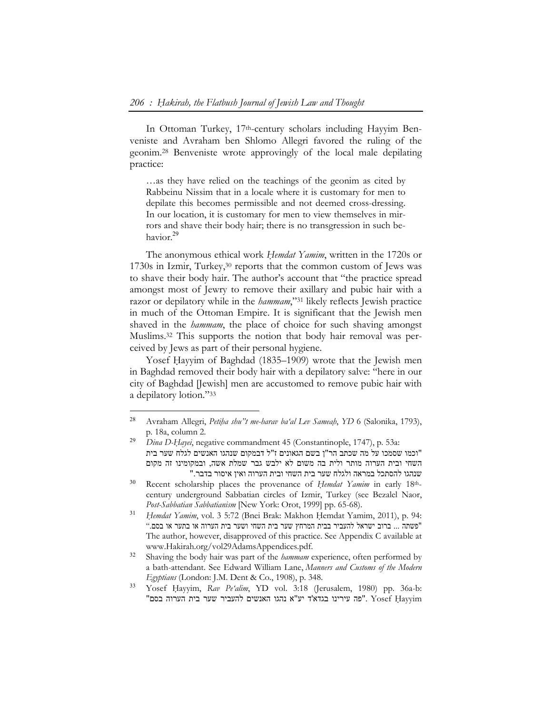In Ottoman Turkey, 17th-century scholars including Hayyim Benveniste and Avraham ben Shlomo Allegri favored the ruling of the geonim.28 Benveniste wrote approvingly of the local male depilating practice:

…as they have relied on the teachings of the geonim as cited by Rabbeinu Nissim that in a locale where it is customary for men to depilate this becomes permissible and not deemed cross-dressing. In our location, it is customary for men to view themselves in mirrors and shave their body hair; there is no transgression in such behavior.<sup>29</sup>

The anonymous ethical work *Ḥemdat Yamim*, written in the 1720s or 1730s in Izmir, Turkey,30 reports that the common custom of Jews was to shave their body hair. The author's account that "the practice spread amongst most of Jewry to remove their axillary and pubic hair with a razor or depilatory while in the *hammam*,"31 likely reflects Jewish practice in much of the Ottoman Empire. It is significant that the Jewish men shaved in the *hammam*, the place of choice for such shaving amongst Muslims.32 This supports the notion that body hair removal was perceived by Jews as part of their personal hygiene.

Yosef Hayyim of Baghdad (1835–1909) wrote that the Jewish men in Baghdad removed their body hair with a depilatory salve: "here in our city of Baghdad [Jewish] men are accustomed to remove pubic hair with a depilatory lotion."33

<sup>28</sup> Avraham Allegri, *Petiḥa shu"t me-harav ba'al Lev Sameaḥ*, *YD* 6 (Salonika, 1793), p. 18a, column 2.

<sup>29</sup> *Dina D-Ḥayei*, negative commandment 45 (Constantinople, 1747), p. 53a: "וכמו שסמכו על מה שכתב הר"ן בשם הגאונים ז"ל דבמקום שנהגו האנשים לגלח שער בית השחי ובית הערוה מותר ולית בה משום לא ילבש גבר שמלת אשה, ובמקומינו זה מקום שנהגו להסתכל במראה ולגלח שער בית השחי ובית הערוה ואין איסור בדבר."

<sup>&</sup>lt;sup>30</sup> Recent scholarship places the provenance of *Hemdat Yamim* in early 18<sup>th</sup>century underground Sabbatian circles of Izmir, Turkey (see Bezalel Naor, *Post-Sabbatian Sabbatianism* [New York: Orot, 1999] pp. 65-68).

<sup>&</sup>lt;sup>31</sup> *Hemdat Yamim*, vol. 3 5:72 (Bnei Brak: Makhon Hemdat Yamim, 2011), p. 94: "פשתה ... ברוב ישראל להעביר בבית המרחץ שער בית השחי ושער בית הערוה או בתער או בסם." The author, however, disapproved of this practice. See Appendix C available at www.Hakirah.org/vol29AdamsAppendices.pdf.

<sup>32</sup> Shaving the body hair was part of the *hammam* experience, often performed by a bath-attendant. See Edward William Lane, *Manners and Customs of the Modern Egyptians* (London: J.M. Dent & Co., 1908), p. 348.

<sup>33</sup> Yosef Ḥayyim, *Rav Pe'alim*, YD vol. 3:18 (Jerusalem, 1980) pp. 36a-b: "פה עירינו בגדא'ד יע"א נהגו האנשים להעביר שער בית הערוה בסם". Yosef Hayyim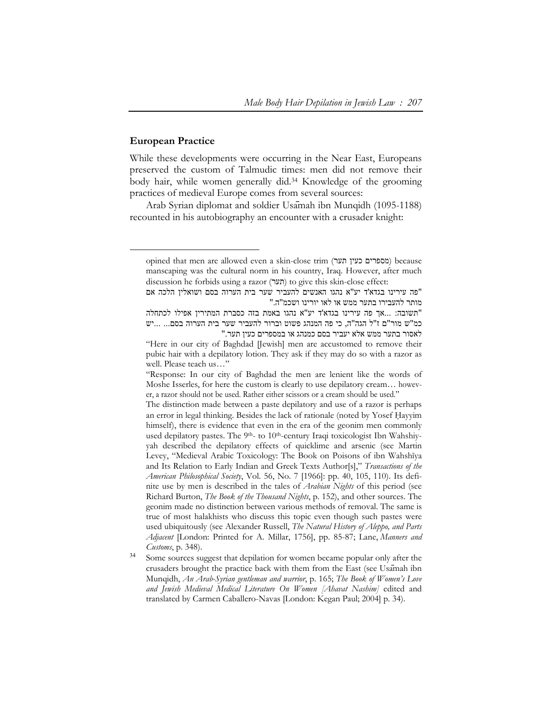### **European Practice**

-

While these developments were occurring in the Near East, Europeans preserved the custom of Talmudic times: men did not remove their body hair, while women generally did.34 Knowledge of the grooming practices of medieval Europe comes from several sources:

Arab Syrian diplomat and soldier Usāmah ibn Munqidh (1095-1188) recounted in his autobiography an encounter with a crusader knight:

opined that men are allowed even a skin-close trim (מספרים כעין תער) because manscaping was the cultural norm in his country, Iraq. However, after much discussion he forbids using a razor (תער) to give this skin-close effect:

<sup>&</sup>quot;פה עירינו בגדא'ד יע"א נהגו האנשים להעביר שער בית הערוה בסם ושואלין הלכה אם מותר להעבירו בתער ממש או לאו יורינו ושכמ"ה."

<sup>&</sup>quot;תשובה: ...אך פה עירינו בגדא'ד יע"א נהגו באמת בזה כסברת המתירין אפילו לכתחלה כמ"ש מור"ם ז"ל הגה"ה, כי פה המנהג פשוט וברור להעביר שער בית הערוה בסם... ...יש לאסור בתער ממש אלא יעביר בסם כמנהג או במספרים כעין תער."

<sup>&</sup>quot;Here in our city of Baghdad [Jewish] men are accustomed to remove their pubic hair with a depilatory lotion. They ask if they may do so with a razor as well. Please teach us…"

<sup>&</sup>quot;Response: In our city of Baghdad the men are lenient like the words of Moshe Isserles, for here the custom is clearly to use depilatory cream… however, a razor should not be used. Rather either scissors or a cream should be used."

The distinction made between a paste depilatory and use of a razor is perhaps an error in legal thinking. Besides the lack of rationale (noted by Yosef Hayyim himself), there is evidence that even in the era of the geonim men commonly used depilatory pastes. The 9<sup>th</sup>- to 10<sup>th</sup>-century Iraqi toxicologist Ibn Wahshiyyah described the depilatory effects of quicklime and arsenic (see Martin Levey, "Medieval Arabic Toxicology: The Book on Poisons of ibn Wahshīya and Its Relation to Early Indian and Greek Texts Author[s]," *Transactions of the American Philosophical Society*, Vol. 56, No. 7 [1966]: pp. 40, 105, 110). Its definite use by men is described in the tales of *Arabian Nights* of this period (see Richard Burton, *The Book of the Thousand Nights*, p. 152), and other sources. The geonim made no distinction between various methods of removal. The same is true of most halakhists who discuss this topic even though such pastes were used ubiquitously (see Alexander Russell, *The Natural History of Aleppo, and Parts Adjacent* [London: Printed for A. Millar, 1756], pp. 85-87; Lane, *Manners and Customs*, p. 348).

Some sources suggest that depilation for women became popular only after the crusaders brought the practice back with them from the East (see Usāmah ibn Munqidh, *An Arab-Syrian gentleman and warrior*, p. 165; *The Book of Women's Love and Jewish Medieval Medical Literature On Women [Ahavat Nashim]* edited and translated by Carmen Caballero-Navas [London: Kegan Paul; 2004] p. 34).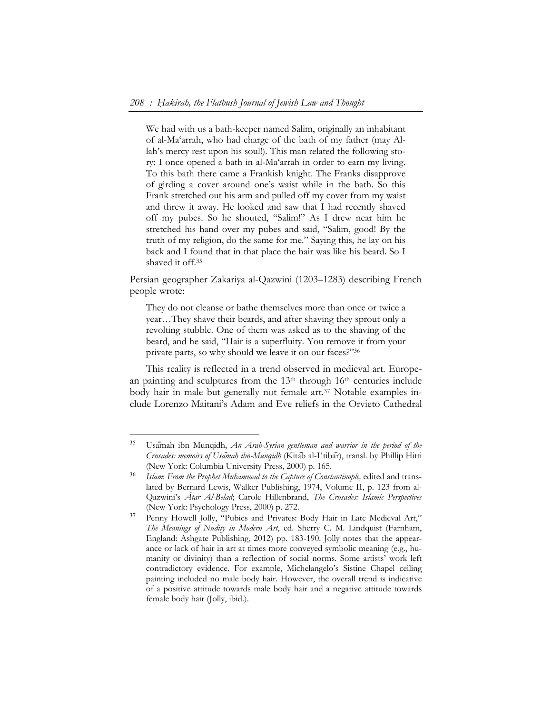We had with us a bath-keeper named Salim, originally an inhabitant of al-Ma'arrah, who had charge of the bath of my father (may Allah's mercy rest upon his soul!). This man related the following story: I once opened a bath in al-Ma'arrah in order to earn my living. To this bath there came a Frankish knight. The Franks disapprove of girding a cover around one's waist while in the bath. So this Frank stretched out his arm and pulled off my cover from my waist and threw it away. He looked and saw that I had recently shaved off my pubes. So he shouted, "Salim!" As I drew near him he stretched his hand over my pubes and said, "Salim, good! By the truth of my religion, do the same for me." Saying this, he lay on his back and I found that in that place the hair was like his beard. So I shaved it off.35

Persian geographer Zakariya al-Qazwini (1203–1283) describing French people wrote:

They do not cleanse or bathe themselves more than once or twice a year…They shave their beards, and after shaving they sprout only a revolting stubble. One of them was asked as to the shaving of the beard, and he said, "Hair is a superfluity. You remove it from your private parts, so why should we leave it on our faces?"36

This reality is reflected in a trend observed in medieval art. European painting and sculptures from the 13<sup>th</sup> through 16<sup>th</sup> centuries include body hair in male but generally not female art.37 Notable examples include Lorenzo Maitani's Adam and Eve reliefs in the Orvieto Cathedral

<sup>35</sup> Usāmah ibn Munqidh, *An Arab-Syrian gentleman and warrior in the period of the Crusades: memoirs of Usāmah ibn-Munqidh* (Kitāb al-Iʻtibār), transl. by Phillip Hitti (New York: Columbia University Press, 2000) p. 165.

<sup>36</sup> *Islam*: *From the Prophet Muhammad to the Capture of Constantinople,* edited and translated by Bernard Lewis, Walker Publishing, 1974, Volume II, p. 123 from al-Qazwini's *Ātar Al-Belad*; Carole Hillenbrand, *The Crusades: Islamic Perspectives*  (New York: Psychology Press, 2000) p. 272.

<sup>&</sup>lt;sup>37</sup> Penny Howell Jolly, "Pubics and Privates: Body Hair in Late Medieval Art," *The Meanings of Nudity in Modern Art*, ed. Sherry C. M. Lindquist (Farnham, England: Ashgate Publishing, 2012) pp. 183-190. Jolly notes that the appearance or lack of hair in art at times more conveyed symbolic meaning (e.g., humanity or divinity) than a reflection of social norms. Some artists' work left contradictory evidence. For example, Michelangelo's Sistine Chapel ceiling painting included no male body hair. However, the overall trend is indicative of a positive attitude towards male body hair and a negative attitude towards female body hair (Jolly, ibid.).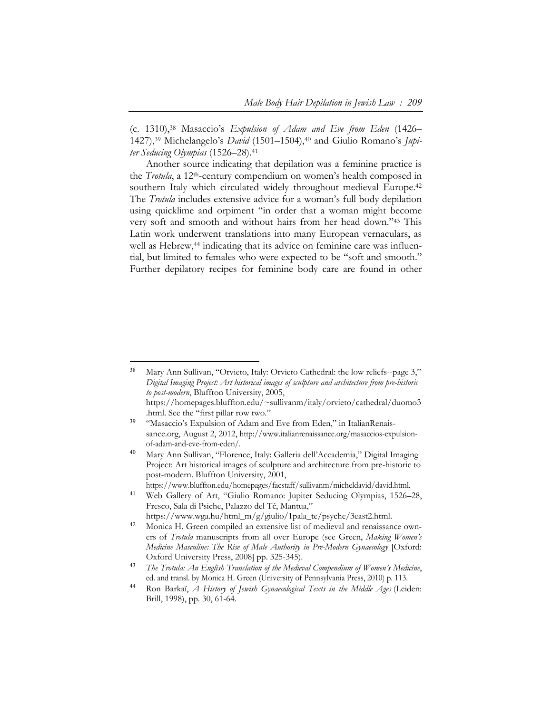(c. 1310),38 Masaccio's *Expulsion of Adam and Eve from Eden* (1426– 1427),39 Michelangelo's *David* (1501–1504),40 and Giulio Romano's *Jupiter Seducing Olympias* (1526–28).41

Another source indicating that depilation was a feminine practice is the *Trotula*, a 12th-century compendium on women's health composed in southern Italy which circulated widely throughout medieval Europe.<sup>42</sup> The *Trotula* includes extensive advice for a woman's full body depilation using quicklime and orpiment "in order that a woman might become very soft and smooth and without hairs from her head down."43 This Latin work underwent translations into many European vernaculars, as well as Hebrew,<sup>44</sup> indicating that its advice on feminine care was influential, but limited to females who were expected to be "soft and smooth." Further depilatory recipes for feminine body care are found in other

 $\overline{a}$ 

<sup>38</sup> Mary Ann Sullivan, "Orvieto, Italy: Orvieto Cathedral: the low reliefs--page 3," *Digital Imaging Project: Art historical images of sculpture and architecture from pre-historic to post-modern*, Bluffton University, 2005, https://homepages.bluffton.edu/~sullivanm/italy/orvieto/cathedral/duomo3

<sup>.</sup>html. See the "first pillar row two." <sup>39</sup> "Masaccio's Expulsion of Adam and Eve from Eden," in ItalianRenaissance.org, August 2, 2012, http://www.italianrenaissance.org/masaccios-expulsionof-adam-and-eve-from-eden/.

<sup>40</sup> Mary Ann Sullivan, "Florence, Italy: Galleria dell'Accademia," Digital Imaging Project: Art historical images of sculpture and architecture from pre-historic to post-modern. Bluffton University, 2001, https://www.bluffton.edu/homepages/facstaff/sullivanm/micheldavid/david.html.

<sup>&</sup>lt;sup>41</sup> Web Gallery of Art, "Giulio Romano: Jupiter Seducing Olympias, 1526–28, Fresco, Sala di Psiche, Palazzo del Tč, Mantua,"

https://www.wga.hu/html\_m/g/giulio/1pala\_te/psyche/3east2.html. <sup>42</sup> Monica H. Green compiled an extensive list of medieval and renaissance own-

ers of *Trotula* manuscripts from all over Europe (see Green, *Making Women's Medicine Masculine: The Rise of Male Authority in Pre-Modern Gynaecology* [Oxford: Oxford University Press, 2008] pp. 325-345).

<sup>43</sup> *The Trotula: An English Translation of the Medieval Compendium of Women's Medicine*, ed. and transl. by Monica H. Green (University of Pennsylvania Press, 2010) p. 113.

<sup>44</sup> Ron Barkaï, *A History of Jewish Gynaecological Texts in the Middle Ages* (Leiden: Brill, 1998), pp. 30, 61-64.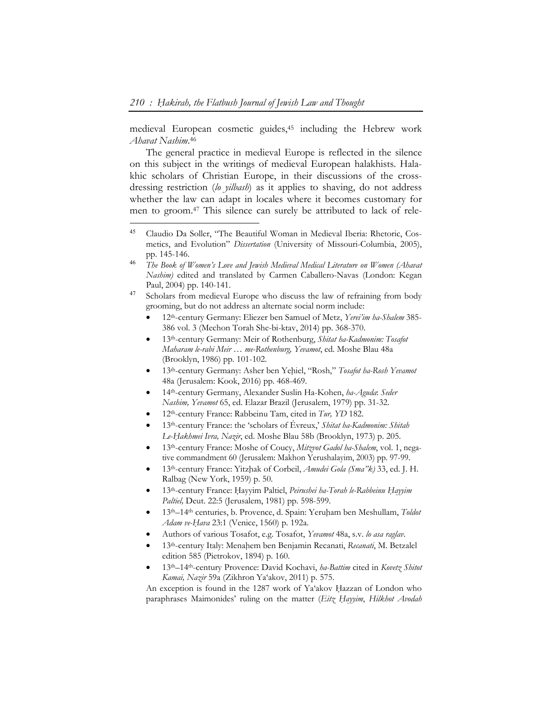$\overline{a}$ 

medieval European cosmetic guides,45 including the Hebrew work *Ahavat Nashim*.46

The general practice in medieval Europe is reflected in the silence on this subject in the writings of medieval European halakhists. Halakhic scholars of Christian Europe, in their discussions of the crossdressing restriction (*lo yilbash*) as it applies to shaving, do not address whether the law can adapt in locales where it becomes customary for men to groom.47 This silence can surely be attributed to lack of rele-

<sup>47</sup> Scholars from medieval Europe who discuss the law of refraining from body grooming, but do not address an alternate social norm include:

- 12th-century Germany: Eliezer ben Samuel of Metz, *Yerei'im ha-Shalem* 385- 386 vol. 3 (Mechon Torah She-bi-ktav, 2014) pp. 368-370.
- 13th-century Germany: Meir of Rothenburg, *Shitat ha-Kadmonim: Tosafot Maharam le-rabi Meir … me-Rothenburg, Yevamot*, ed. Moshe Blau 48a (Brooklyn, 1986) pp. 101-102.
- 13th-century Germany: Asher ben Yeḥiel, "Rosh," *Tosafot ha-Rosh Yevamot* 48a (Jerusalem: Kook, 2016) pp. 468-469.
- 14th-century Germany, Alexander Suslin Ha-Kohen, *ha-Aguda*: *Seder Nashim, Yevamot* 65, ed. Elazar Brazil (Jerusalem, 1979) pp. 31-32.
- 12th-century France: Rabbeinu Tam, cited in *Tur, YD* 182.
- 13th-century France: the 'scholars of Évreux,' *Shitat ha-Kadmonim: Shitah Le-Ḥakhmei Ivra, Nazir*, ed. Moshe Blau 58b (Brooklyn, 1973) p. 205.
- 13th-century France: Moshe of Coucy, *Mitzvot Gadol ha-Shalem*, vol. 1, negative commandment 60 (Jerusalem: Makhon Yerushalayim, 2003) pp. 97-99.
- 13th-century France: Yitzḥak of Corbeil, *Amudei Gola (Sma"k)* 33, ed. J. H. Ralbag (New York, 1959) p. 50.
- 13th-century France: Ḥayyim Paltiel, *Peirushei ha-Torah le-Rabbeinu Ḥayyim Paltiel,* Deut. 22:5 (Jerusalem, 1981) pp. 598-599.
- 13th–14th centuries, b. Provence, d. Spain: Yeruḥam ben Meshullam, *Toldot Adam ve-Ḥava* 23:1 (Venice, 1560) p. 192a.
- Authors of various Tosafot, e.g. Tosafot, *Yevamot* 48a, s.v. *lo asa raglav*.
- 13th-century Italy: Menaḥem ben Benjamin Recanati, *Recanati*, M. Betzalel edition 585 (Pietrokov, 1894) p. 160.
- 13th–14th-century Provence: David Kochavi, *ha-Battim* cited in *Kovetz Shitot Kamai, Nazir* 59a (Zikhron Ya'akov, 2011) p. 575.

An exception is found in the 1287 work of Ya'akov Hazzan of London who paraphrases Maimonides' ruling on the matter (*Eitz Ḥayyim*, *Hilkhot Avodah* 

<sup>45</sup> Claudio Da Soller, "The Beautiful Woman in Medieval Iberia: Rhetoric, Cosmetics, and Evolution" *Dissertation* (University of Missouri-Columbia, 2005), pp. 145-146.

<sup>46</sup> *The Book of Women's Love and Jewish Medieval Medical Literature on Women (Ahavat Nashim)* edited and translated by Carmen Caballero-Navas (London: Kegan Paul, 2004) pp. 140-141.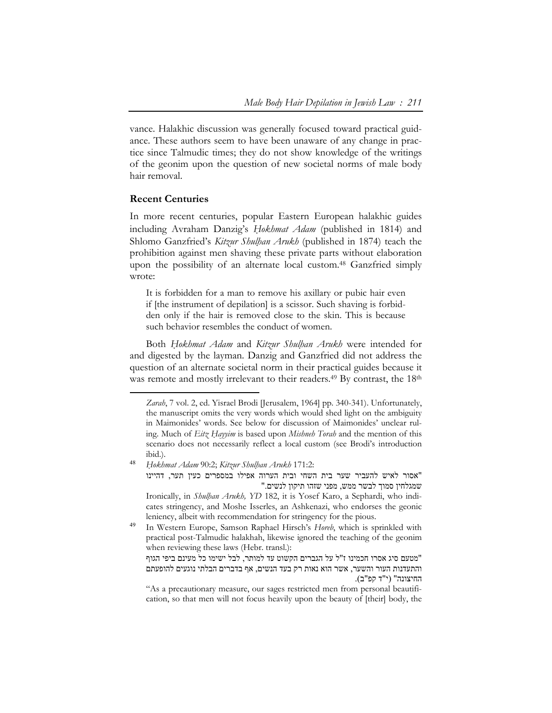vance. Halakhic discussion was generally focused toward practical guidance. These authors seem to have been unaware of any change in practice since Talmudic times; they do not show knowledge of the writings of the geonim upon the question of new societal norms of male body hair removal.

# **Recent Centuries**

 $\overline{a}$ 

In more recent centuries, popular Eastern European halakhic guides including Avraham Danzig's *Ḥokhmat Adam* (published in 1814) and Shlomo Ganzfried's *Kitzur Shulḥan Arukh* (published in 1874) teach the prohibition against men shaving these private parts without elaboration upon the possibility of an alternate local custom.48 Ganzfried simply wrote:

It is forbidden for a man to remove his axillary or pubic hair even if [the instrument of depilation] is a scissor. Such shaving is forbidden only if the hair is removed close to the skin. This is because such behavior resembles the conduct of women.

Both *Ḥokhmat Adam* and *Kitzur Shulḥan Arukh* were intended for and digested by the layman. Danzig and Ganzfried did not address the question of an alternate societal norm in their practical guides because it was remote and mostly irrelevant to their readers.<sup>49</sup> By contrast, the 18<sup>th</sup>

"אסור לאיש להעביר שער בית השחי ובית הערוה אפילו במספרים כעין תער, דהיינו שמגלחין סמוך לבשר ממש, מפני שזהו תיקון לנשים."

*Zarah*, 7 vol. 2, ed. Yisrael Brodi [Jerusalem, 1964] pp. 340-341). Unfortunately, the manuscript omits the very words which would shed light on the ambiguity in Maimonides' words. See below for discussion of Maimonides' unclear ruling. Much of *Eitz Ḥayyim* is based upon *Mishneh Torah* and the mention of this scenario does not necessarily reflect a local custom (see Brodi's introduction ibid.).

<sup>48</sup> *Ḥokhmat Adam* 90:2; *Kitzur Shulḥan Arukh* 171:2:

Ironically, in *Shulḥan Arukh, YD* 182, it is Yosef Karo, a Sephardi, who indicates stringency, and Moshe Isserles, an Ashkenazi, who endorses the geonic leniency, albeit with recommendation for stringency for the pious.

<sup>49</sup> In Western Europe, Samson Raphael Hirsch's *Horeb*, which is sprinkled with practical post-Talmudic halakhah, likewise ignored the teaching of the geonim when reviewing these laws (Hebr. transl.):

<sup>&</sup>quot;מטעם סיג אסרו חכמינו ז"ל על הגברים הקשוט עד למותר, לבל ישימו כל מעינם ביפי הגוף והתעדנות העור והשער, אשר הוא נאות רק בעד הנשים, אף בדברים הבלתי נוגעים להופעתם החיצונה" (י"ד קפ"ב).

<sup>&</sup>quot;As a precautionary measure, our sages restricted men from personal beautification, so that men will not focus heavily upon the beauty of [their] body, the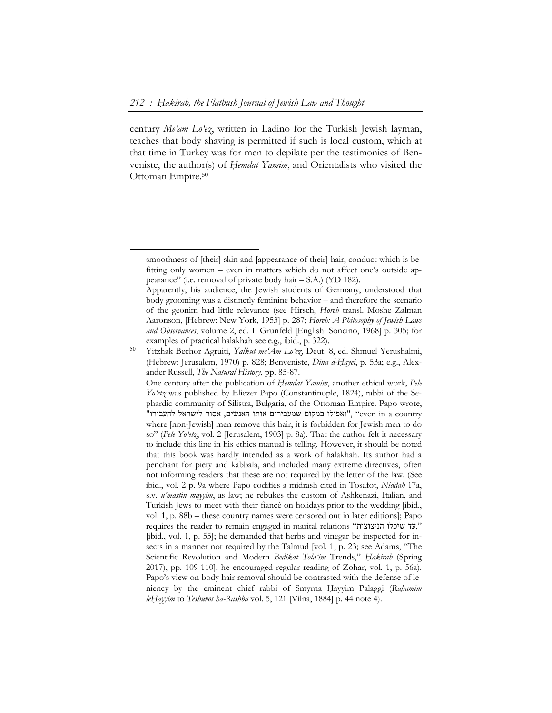$\overline{a}$ 

century *Me'am Lo'ez*, written in Ladino for the Turkish Jewish layman, teaches that body shaving is permitted if such is local custom, which at that time in Turkey was for men to depilate per the testimonies of Benveniste, the author(s) of *Ḥemdat Yamim*, and Orientalists who visited the Ottoman Empire.50

smoothness of [their] skin and [appearance of their] hair, conduct which is befitting only women – even in matters which do not affect one's outside appearance" (i.e. removal of private body hair – S.A.) (YD 182).

Apparently, his audience, the Jewish students of Germany, understood that body grooming was a distinctly feminine behavior – and therefore the scenario of the geonim had little relevance (see Hirsch, *Horeb* transl. Moshe Zalman Aaronson, [Hebrew: New York, 1953] p. 287; *Horeb: A Philosophy of Jewish Laws and Observances*, volume 2, ed. I. Grunfeld [English: Soncino, 1968] p. 305; for examples of practical halakhah see e.g., ibid., p. 322).

<sup>50</sup> Yitzhak Bechor Agruiti, *Yalkut me'Am Lo'ez*, Deut. 8, ed. Shmuel Yerushalmi, (Hebrew: Jerusalem, 1970) p. 828; Benveniste, *Dina d-Ḥayei*, p. 53a; e.g., Alexander Russell, *The Natural History*, pp. 85-87.

One century after the publication of *Ḥemdat Yamim*, another ethical work, *Pele Yo'etz* was published by Eliezer Papo (Constantinople, 1824), rabbi of the Sephardic community of Silistra, Bulgaria, of the Ottoman Empire. Papo wrote, "ואפילו במקום שמעבירים אותו האנשים, אסור לישראל להעבירו", "even in a country where [non-Jewish] men remove this hair, it is forbidden for Jewish men to do so" (*Pele Yo'etz*, vol. 2 [Jerusalem, 1903] p. 8a). That the author felt it necessary to include this line in his ethics manual is telling. However, it should be noted that this book was hardly intended as a work of halakhah. Its author had a penchant for piety and kabbala, and included many extreme directives, often not informing readers that these are not required by the letter of the law. (See ibid., vol. 2 p. 9a where Papo codifies a midrash cited in Tosafot, *Niddah* 17a, s.v*. u'mastin mayyim*, as law; he rebukes the custom of Ashkenazi, Italian, and Turkish Jews to meet with their fiancé on holidays prior to the wedding [ibid., vol. 1, p. 88b – these country names were censored out in later editions]; Papo requires the reader to remain engaged in marital relations "הניצוצות שיכלו עד, " [ibid., vol. 1, p. 55]; he demanded that herbs and vinegar be inspected for insects in a manner not required by the Talmud [vol. 1, p. 23; see Adams, "The Scientific Revolution and Modern *Bedikat Tola'im* Trends," *Ḥakirah* (Spring 2017), pp. 109-110]; he encouraged regular reading of Zohar, vol. 1, p. 56a). Papo's view on body hair removal should be contrasted with the defense of leniency by the eminent chief rabbi of Smyrna Hayyim Palaggi (Rahamim *leḤayyim* to *Teshuvot ha-Rashba* vol. 5, 121 [Vilna, 1884] p. 44 note 4).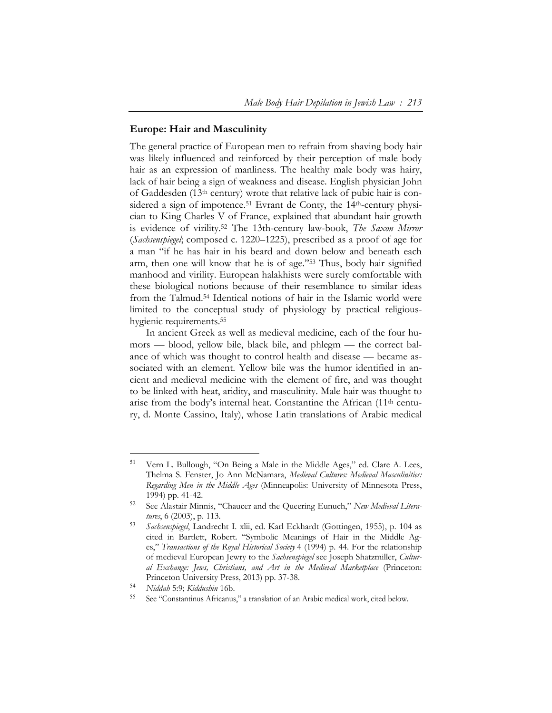#### **Europe: Hair and Masculinity**

The general practice of European men to refrain from shaving body hair was likely influenced and reinforced by their perception of male body hair as an expression of manliness. The healthy male body was hairy, lack of hair being a sign of weakness and disease. English physician John of Gaddesden (13th century) wrote that relative lack of pubic hair is considered a sign of impotence.<sup>51</sup> Evrant de Conty, the 14<sup>th</sup>-century physician to King Charles V of France, explained that abundant hair growth is evidence of virility.52 The 13th-century law-book, *The Saxon Mirror*  (*Sachsenspiegel*; composed c. 1220–1225), prescribed as a proof of age for a man "if he has hair in his beard and down below and beneath each arm, then one will know that he is of age."53 Thus, body hair signified manhood and virility. European halakhists were surely comfortable with these biological notions because of their resemblance to similar ideas from the Talmud.54 Identical notions of hair in the Islamic world were limited to the conceptual study of physiology by practical religioushygienic requirements.55

In ancient Greek as well as medieval medicine, each of the four humors — blood, yellow bile, black bile, and phlegm — the correct balance of which was thought to control health and disease — became associated with an element. Yellow bile was the humor identified in ancient and medieval medicine with the element of fire, and was thought to be linked with heat, aridity, and masculinity. Male hair was thought to arise from the body's internal heat. Constantine the African (11th century, d. Monte Cassino, Italy), whose Latin translations of Arabic medical

 $\ddot{\phantom{a}}$ 

<sup>51</sup> Vern L. Bullough, "On Being a Male in the Middle Ages," ed. Clare A. Lees, Thelma S. Fenster, Jo Ann McNamara, *Medieval Cultures: Medieval Masculinities: Regarding Men in the Middle Ages* (Minneapolis: University of Minnesota Press, 1994) pp. 41-42.

<sup>52</sup> See Alastair Minnis, "Chaucer and the Queering Eunuch," *New Medieval Literatures*, 6 (2003), p. 113.

<sup>53</sup> *Sachsenspiegel*, Landrecht I. xlii, ed. Karl Eckhardt (Gottingen, 1955), p. 104 as cited in Bartlett, Robert. "Symbolic Meanings of Hair in the Middle Ages," *Transactions of the Royal Historical Society* 4 (1994) p. 44. For the relationship of medieval European Jewry to the *Sachsenspiegel* see Joseph Shatzmiller, *Cultural Exchange: Jews, Christians, and Art in the Medieval Marketplace* (Princeton: Princeton University Press, 2013) pp. 37-38.

<sup>54</sup> *Niddah* 5:9; *Kiddushin* 16b.

<sup>55</sup> See "Constantinus Africanus," a translation of an Arabic medical work, cited below.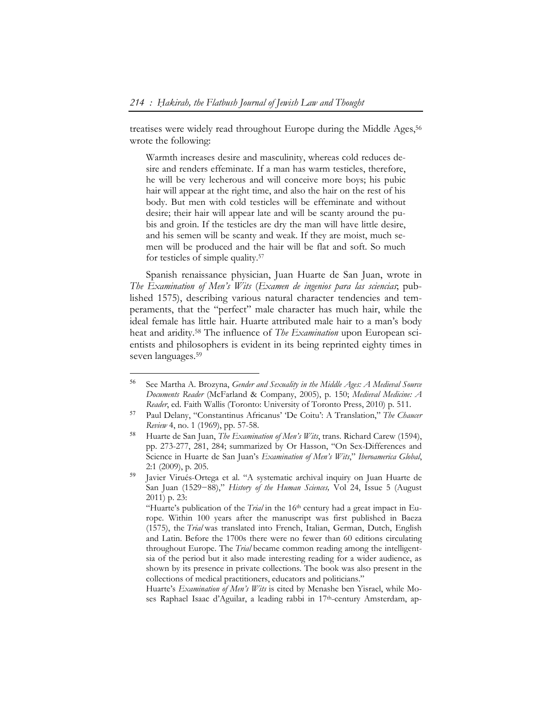treatises were widely read throughout Europe during the Middle Ages,<sup>56</sup> wrote the following:

Warmth increases desire and masculinity, whereas cold reduces desire and renders effeminate. If a man has warm testicles, therefore, he will be very lecherous and will conceive more boys; his pubic hair will appear at the right time, and also the hair on the rest of his body. But men with cold testicles will be effeminate and without desire; their hair will appear late and will be scanty around the pubis and groin. If the testicles are dry the man will have little desire, and his semen will be scanty and weak. If they are moist, much semen will be produced and the hair will be flat and soft. So much for testicles of simple quality.57

Spanish renaissance physician, Juan Huarte de San Juan, wrote in *The Examination of Men's Wits* (*Examen de ingenios para las sciencias*; published 1575), describing various natural character tendencies and temperaments, that the "perfect" male character has much hair, while the ideal female has little hair. Huarte attributed male hair to a man's body heat and aridity.58 The influence of *The Examination* upon European scientists and philosophers is evident in its being reprinted eighty times in seven languages.59

 $\ddot{\phantom{a}}$ 

<sup>59</sup> Javier Virués-Ortega et al. "A systematic archival inquiry on Juan Huarte de San Juan (1529−88)," *History of the Human Sciences,* Vol 24, Issue 5 (August 2011) p. 23:

Huarte's *Examination of Men's Wits* is cited by Menashe ben Yisrael, while Moses Raphael Isaac d'Aguilar, a leading rabbi in 17<sup>th</sup>-century Amsterdam, ap-

<sup>56</sup> See Martha A. Brozyna, *Gender and Sexuality in the Middle Ages: A Medieval Source Documents Reader* (McFarland & Company, 2005), p. 150; *Medieval Medicine: A Reader*, ed. Faith Wallis (Toronto: University of Toronto Press, 2010) p. 511.

<sup>57</sup> Paul Delany, "Constantinus Africanus' 'De Coitu': A Translation," *The Chaucer Review* 4, no. 1 (1969), pp. 57-58.

<sup>58</sup> Huarte de San Juan, *The Examination of Men's Wits*, trans. Richard Carew (1594), pp. 273-277, 281, 284; summarized by Or Hasson, "On Sex-Differences and Science in Huarte de San Juan's *Examination of Men's Wits*," *Iberoamerica Global*, 2:1 (2009), p. 205.

<sup>&</sup>quot;Huarte's publication of the *Trial* in the 16th century had a great impact in Europe. Within 100 years after the manuscript was first published in Baeza (1575), the *Trial* was translated into French, Italian, German, Dutch, English and Latin. Before the 1700s there were no fewer than 60 editions circulating throughout Europe. The *Trial* became common reading among the intelligentsia of the period but it also made interesting reading for a wider audience, as shown by its presence in private collections. The book was also present in the collections of medical practitioners, educators and politicians."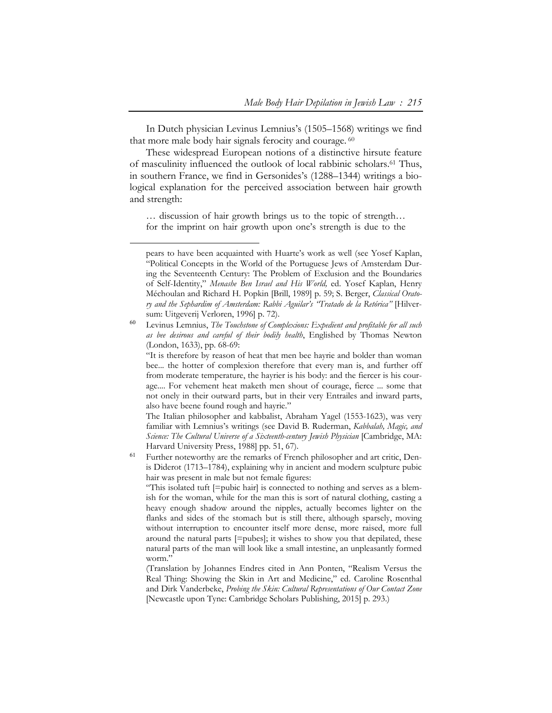In Dutch physician Levinus Lemnius's (1505–1568) writings we find that more male body hair signals ferocity and courage. 60

These widespread European notions of a distinctive hirsute feature of masculinity influenced the outlook of local rabbinic scholars.61 Thus, in southern France, we find in Gersonides's (1288–1344) writings a biological explanation for the perceived association between hair growth and strength:

… discussion of hair growth brings us to the topic of strength… for the imprint on hair growth upon one's strength is due to the

 $\overline{a}$ 

The Italian philosopher and kabbalist, Abraham Yagel (1553-1623), was very familiar with Lemnius's writings (see David B. Ruderman, *Kabbalah, Magic, and Science: The Cultural Universe of a Sixteenth-century Jewish Physician* [Cambridge, MA: Harvard University Press, 1988] pp. 51, 67).

<sup>61</sup> Further noteworthy are the remarks of French philosopher and art critic, Denis Diderot (1713–1784), explaining why in ancient and modern sculpture pubic hair was present in male but not female figures:

"This isolated tuft [=pubic hair] is connected to nothing and serves as a blemish for the woman, while for the man this is sort of natural clothing, casting a heavy enough shadow around the nipples, actually becomes lighter on the flanks and sides of the stomach but is still there, although sparsely, moving without interruption to encounter itself more dense, more raised, more full around the natural parts [=pubes]; it wishes to show you that depilated, these natural parts of the man will look like a small intestine, an unpleasantly formed worm."

(Translation by Johannes Endres cited in Ann Ponten, "Realism Versus the Real Thing: Showing the Skin in Art and Medicine," ed. Caroline Rosenthal and Dirk Vanderbeke, *Probing the Skin: Cultural Representations of Our Contact Zone* [Newcastle upon Tyne: Cambridge Scholars Publishing, 2015] p. 293.)

pears to have been acquainted with Huarte's work as well (see Yosef Kaplan, "Political Concepts in the World of the Portuguese Jews of Amsterdam During the Seventeenth Century: The Problem of Exclusion and the Boundaries of Self-Identity," *Menashe Ben Israel and His World,* ed. Yosef Kaplan, Henry Méchoulan and Richard H. Popkin [Brill, 1989] p. 59; S. Berger, *Classical Oratory and the Sephardim of Amsterdam: Rabbi Aguilar's "Tratado de la Retórica"* [Hilversum: Uitgeverij Verloren, 1996] p. 72).

<sup>60</sup> Levinus Lemnius, *The Touchstone of Complexions: Expedient and profitable for all such as bee desirous and careful of their bodily health*, Englished by Thomas Newton (London, 1633), pp. 68-69:

<sup>&</sup>quot;It is therefore by reason of heat that men bee hayrie and bolder than woman bee... the hotter of complexion therefore that every man is, and further off from moderate temperature, the hayrier is his body: and the fiercer is his courage.... For vehement heat maketh men shout of courage, fierce ... some that not onely in their outward parts, but in their very Entrailes and inward parts, also have beene found rough and hayrie."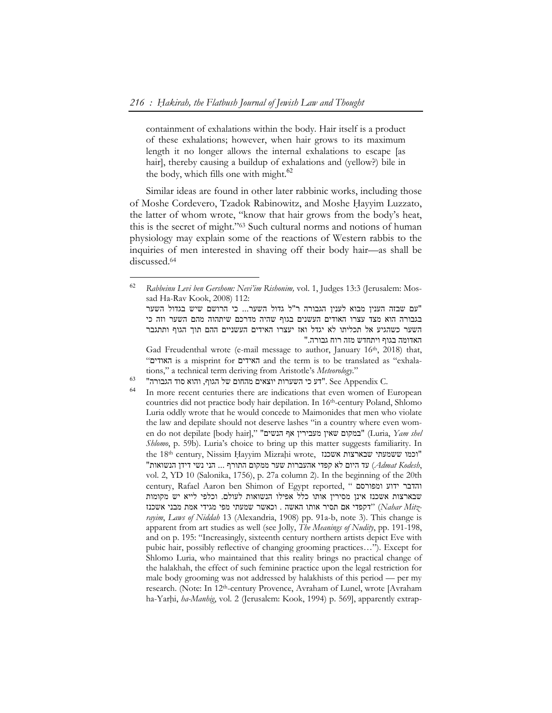containment of exhalations within the body. Hair itself is a product of these exhalations; however, when hair grows to its maximum length it no longer allows the internal exhalations to escape [as hair], thereby causing a buildup of exhalations and (yellow?) bile in the body, which fills one with might. $62$ 

Similar ideas are found in other later rabbinic works, including those of Moshe Cordevero, Tzadok Rabinowitz, and Moshe Hayyim Luzzato, the latter of whom wrote, "know that hair grows from the body's heat, this is the secret of might."63 Such cultural norms and notions of human physiology may explain some of the reactions of Western rabbis to the inquiries of men interested in shaving off their body hair—as shall be discussed.64

<sup>62</sup> *Rabbeinu Levi ben Gershom: Nevi'im Rishonim,* vol. 1, Judges 13:3 (Jerusalem: Mossad Ha-Rav Kook, 2008) 112:

<sup>&</sup>quot;עם שבזה הענין מבוא לענין הגבורה ר"ל גדול השער... כי הרושם שיש בגדול השער בגבורה הוא מצד עצרו האודים העשנים בגוף שהיה מדרכם שיתהוה מהם השער וזה כי השער כשהגיע אל תכליתו לא יגדל ואז יעצרו האידים העשניים ההם תוך הגוף ותתגבר האדומה בגוף ויתחדש מזה רוח גבורה."

Gad Freudenthal wrote (e-mail message to author, January 16<sup>th</sup>, 2018) that, "האודים is a misprint for האידים and the term is to be translated as "exhalations," a technical term deriving from Aristotle's *Meteorology*."

 $^{63}$  הגבורה". See Appendix C. הגבורה"  $\,$  See Appendix C.

In more recent centuries there are indications that even women of European countries did not practice body hair depilation. In 16th-century Poland, Shlomo Luria oddly wrote that he would concede to Maimonides that men who violate the law and depilate should not deserve lashes "in a country where even women do not depilate [body hair]," הנשים אף הנשים שאין במקום שאין (Luria, Yam shel *Shlomo*, p. 59b). Luria's choice to bring up this matter suggests familiarity. In the 18th century, Nissim Hayyim Mizrahi wrote, וכמו ששמעתי שבארצות אשכנז ,*Kodesh Admat* (עד היום לא קפדי אהעברות שער ממקום התורף ... הני נשי דידן הנשואות" vol. 2, YD 10 (Salonika, 1756), p. 27a column 2). In the beginning of the 20th century, Rafael Aaron ben Shimon of Egypt reported, " ומפורסם ידוע והדבר שבארצות אשכנז אינן מסירין אותו כלל אפילו הנשואות לעולם. וכלפי לייא יש מקומות אשכנז מבני אמת מגידי מפי שמעתי וכאשר . האשה אותו תסיר אם דקפדי) "*Nahar Mitzrayim*, *Laws of Niddah* 13 (Alexandria, 1908) pp. 91a-b, note 3). This change is apparent from art studies as well (see Jolly, *The Meanings of Nudity*, pp. 191-198, and on p. 195: "Increasingly, sixteenth century northern artists depict Eve with pubic hair, possibly reflective of changing grooming practices…"). Except for Shlomo Luria, who maintained that this reality brings no practical change of the halakhah, the effect of such feminine practice upon the legal restriction for male body grooming was not addressed by halakhists of this period — per my research. (Note: In 12th-century Provence, Avraham of Lunel, wrote [Avraham ha-Yarhi, *ha-Manhig*, vol. 2 (Jerusalem: Kook, 1994) p. 569], apparently extrap-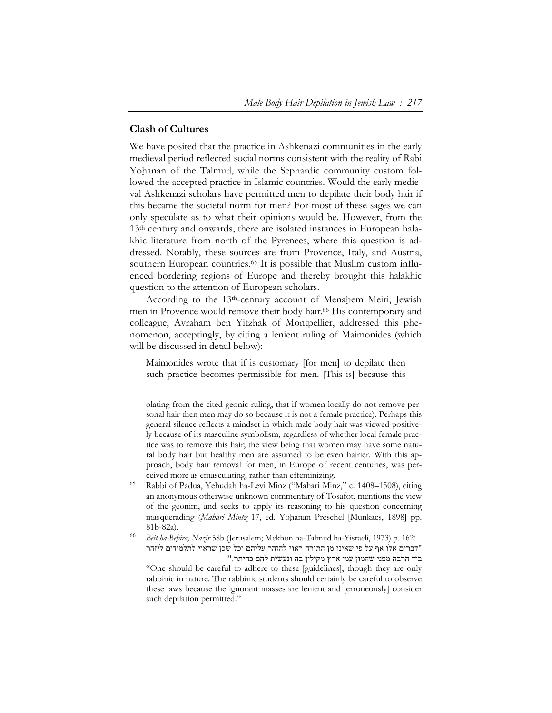# **Clash of Cultures**

 $\overline{a}$ 

We have posited that the practice in Ashkenazi communities in the early medieval period reflected social norms consistent with the reality of Rabi Yohanan of the Talmud, while the Sephardic community custom followed the accepted practice in Islamic countries. Would the early medieval Ashkenazi scholars have permitted men to depilate their body hair if this became the societal norm for men? For most of these sages we can only speculate as to what their opinions would be. However, from the 13<sup>th</sup> century and onwards, there are isolated instances in European halakhic literature from north of the Pyrenees, where this question is addressed. Notably, these sources are from Provence, Italy, and Austria, southern European countries.<sup>65</sup> It is possible that Muslim custom influenced bordering regions of Europe and thereby brought this halakhic question to the attention of European scholars.

According to the 13<sup>th</sup>-century account of Menahem Meiri, Jewish men in Provence would remove their body hair.<sup>66</sup> His contemporary and colleague, Avraham ben Yitzhak of Montpellier, addressed this phenomenon, acceptingly, by citing a lenient ruling of Maimonides (which will be discussed in detail below):

Maimonides wrote that if is customary [for men] to depilate then such practice becomes permissible for men. [This is] because this

olating from the cited geonic ruling, that if women locally do not remove personal hair then men may do so because it is not a female practice). Perhaps this general silence reflects a mindset in which male body hair was viewed positively because of its masculine symbolism, regardless of whether local female practice was to remove this hair; the view being that women may have some natural body hair but healthy men are assumed to be even hairier. With this approach, body hair removal for men, in Europe of recent centuries, was perceived more as emasculating, rather than effeminizing.

<sup>65</sup> Rabbi of Padua, Yehudah ha-Levi Minz ("Mahari Minz," c. 1408–1508), citing an anonymous otherwise unknown commentary of Tosafot, mentions the view of the geonim, and seeks to apply its reasoning to his question concerning masquerading (Mahari Mintz 17, ed. Yohanan Preschel [Munkacs, 1898] pp. 81b-82a).

<sup>66</sup> *Beit ha-Beḥira, Nazir* 58b (Jerusalem; Mekhon ha-Talmud ha-Yisraeli, 1973) p. 162: "דברים אלו אף על פי שאינו מן התורה ראוי להזהר עליהם וכל שכן שראוי לתלמידים ליזהר ביד הרבה מפני שהמון עמי ארץ מקילין בה ונעשית להם כהיתר."

<sup>&</sup>quot;One should be careful to adhere to these [guidelines], though they are only rabbinic in nature. The rabbinic students should certainly be careful to observe these laws because the ignorant masses are lenient and [erroneously] consider such depilation permitted."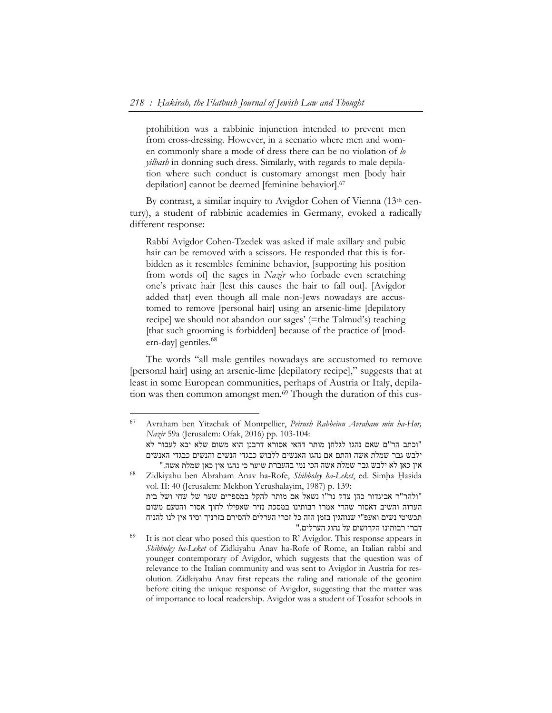prohibition was a rabbinic injunction intended to prevent men from cross-dressing. However, in a scenario where men and women commonly share a mode of dress there can be no violation of *lo yilbash* in donning such dress. Similarly, with regards to male depilation where such conduct is customary amongst men [body hair depilation] cannot be deemed [feminine behavior].67

By contrast, a similar inquiry to Avigdor Cohen of Vienna (13th century), a student of rabbinic academies in Germany, evoked a radically different response:

Rabbi Avigdor Cohen-Tzedek was asked if male axillary and pubic hair can be removed with a scissors. He responded that this is forbidden as it resembles feminine behavior, [supporting his position from words of] the sages in *Nazir* who forbade even scratching one's private hair [lest this causes the hair to fall out]. [Avigdor added that] even though all male non-Jews nowadays are accustomed to remove [personal hair] using an arsenic-lime [depilatory recipe] we should not abandon our sages' (=the Talmud's) teaching [that such grooming is forbidden] because of the practice of [modern-day] gentiles.<sup>68</sup>

The words "all male gentiles nowadays are accustomed to remove [personal hair] using an arsenic-lime [depilatory recipe]," suggests that at least in some European communities, perhaps of Austria or Italy, depilation was then common amongst men.<sup>69</sup> Though the duration of this cus-

 $\overline{a}$ 

<sup>68</sup> Zidkiyahu ben Abraham Anav ha-Rofe, *Shibboley ha-Leket*, ed. Simḥa Ḥasida vol. II: 40 (Jerusalem: Mekhon Yerushalayim, 1987) p. 139: "ולהר"ר אביגדור כהן צדק נר"ו נשאל אם מותר להקל במספרים שער של שחי ושל בית הערוה והשיב דאסור שהרי אמרו רבותינו במסכת נזיר שאפילו לחוך אסור והטעם משום תכשיטי נשים ואעפ"י שנוהגין בזמן הזה כל זכרי הערלים להסירם בזרניך וסיד אין לנו להניח דברי רבותינו הקדושים על נהוג הערלים."

<sup>67</sup> Avraham ben Yitzchak of Montpellier, *Peirush Rabbeinu Avraham min ha-Hor, Nazir* 59a (Jerusalem: Ofak, 2016) pp. 103-104:

<sup>&</sup>quot;וכתב הר"ם שאם נהגו לגלחן מותר דהאי אסורא דרבנן הוא משום שלא יבא לעבור לא ילבש גבר שמלת אשה והתם אם נהגו האנשים ללבוש כבגדי הנשים והנשים כבגדי האנשים אין כאן לא ילבש גבר שמלת אשה הכי נמי בהעברת שיער כי נהגו אין כאן שמלת אשה."

 $69$  It is not clear who posed this question to R' Avigdor. This response appears in *Shibboley ha-Leket* of Zidkiyahu Anav ha-Rofe of Rome, an Italian rabbi and younger contemporary of Avigdor, which suggests that the question was of relevance to the Italian community and was sent to Avigdor in Austria for resolution. Zidkiyahu Anav first repeats the ruling and rationale of the geonim before citing the unique response of Avigdor, suggesting that the matter was of importance to local readership. Avigdor was a student of Tosafot schools in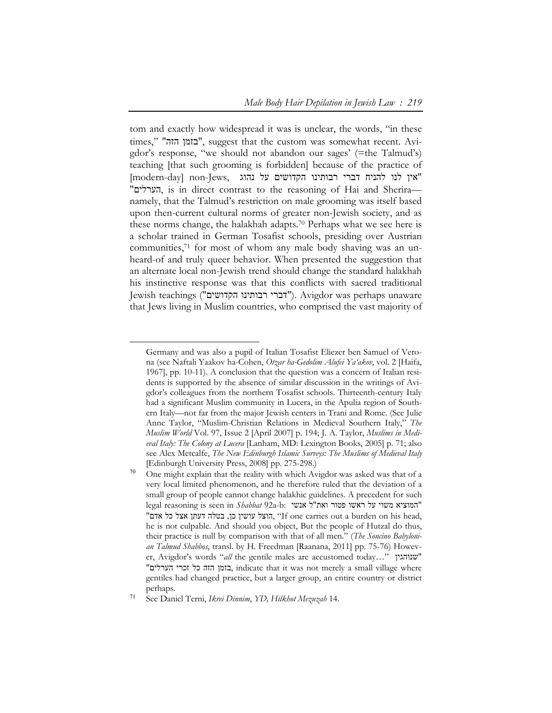tom and exactly how widespread it was is unclear, the words, "in these times," "בזמן הזה", suggest that the custom was somewhat recent. Avigdor's response, "we should not abandon our sages' (=the Talmud's) teaching [that such grooming is forbidden] because of the practice of "אין לנו להניח דברי רבותינו הקדושים על נהוג ,Jews-non] day-modern[ "הערלים, is in direct contrast to the reasoning of Hai and Sherira namely, that the Talmud's restriction on male grooming was itself based upon then-current cultural norms of greater non-Jewish society, and as these norms change, the halakhah adapts.70 Perhaps what we see here is a scholar trained in German Tosafist schools, presiding over Austrian communities,<sup>71</sup> for most of whom any male body shaving was an unheard-of and truly queer behavior. When presented the suggestion that an alternate local non-Jewish trend should change the standard halakhah his instinctive response was that this conflicts with sacred traditional Jewish teachings ("דברי רבותינו הקדושים"). Avigdor was perhaps unaware that Jews living in Muslim countries, who comprised the vast majority of

 $\ddot{\phantom{a}}$ 

Germany and was also a pupil of Italian Tosafist Eliezer ben Samuel of Verona (see Naftali Yaakov ha-Cohen, *Otzar ha-Gedolim Alufei Ya'akov*, vol. 2 [Haifa, 1967], pp. 10-11). A conclusion that the question was a concern of Italian residents is supported by the absence of similar discussion in the writings of Avigdor's colleagues from the northern Tosafist schools. Thirteenth-century Italy had a significant Muslim community in Lucera, in the Apulia region of Southern Italy—not far from the major Jewish centers in Trani and Rome. (See Julie Anne Taylor, "Muslim-Christian Relations in Medieval Southern Italy," *The Muslim World* Vol. 97, Issue 2 [April 2007] p. 194; J. A. Taylor, *Muslims in Medieval Italy: The Colony at Lucera* [Lanham, MD: Lexington Books, 2005] p. 71; also see Alex Metcalfe, *The New Edinburgh Islamic Surveys: The Muslims of Medieval Italy* [Edinburgh University Press, 2008] pp. 275-298.)

 $70$  One might explain that the reality with which Avigdor was asked was that of a very local limited phenomenon, and he therefore ruled that the deviation of a small group of people cannot change halakhic guidelines. A precedent for such "המוציא משוי על ראשו פטור ואת"ל אנשי :b-a92 *Shabbat* in seen is reasoning legal "הוצל עושין כן, בטלה דעתן אצל כל אדם, "If one carries out a burden on his head, he is not culpable. And should you object, But the people of Hutzal do thus, their practice is null by comparison with that of all men." (*The Soncino Babylonian Talmud Shabbos*, transl. by H. Freedman [Raanana, 2011] pp. 75-76) However, Avigdor's words "*all* the gentile males are accustomed today…" שנוהגין" "בזמן הזה כל זכרי הערלים, indicate that it was not merely a small village where gentiles had changed practice, but a larger group, an entire country or district perhaps.

<sup>71</sup> See Daniel Terni, *Ikrei Dinnim*, *YD, Hilkhot Mezuzah* 14.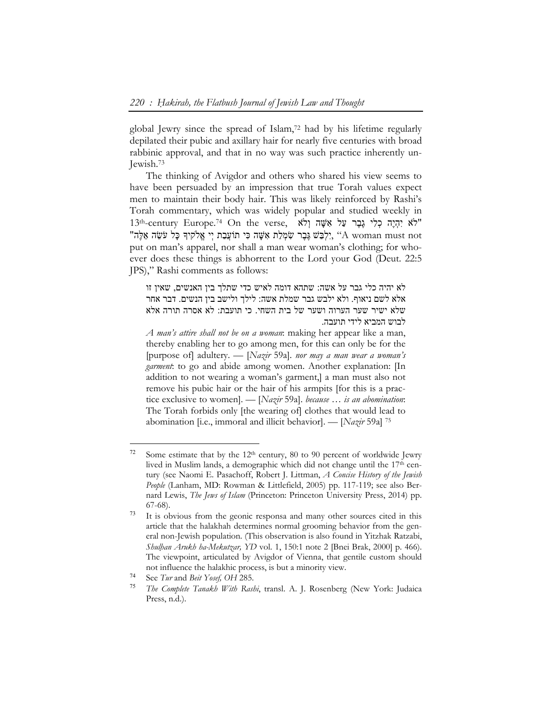global Jewry since the spread of Islam,72 had by his lifetime regularly depilated their pubic and axillary hair for nearly five centuries with broad rabbinic approval, and that in no way was such practice inherently un-Jewish.73

The thinking of Avigdor and others who shared his view seems to have been persuaded by an impression that true Torah values expect men to maintain their body hair. This was likely reinforced by Rashi's Torah commentary, which was widely popular and studied weekly in 13th-century Europe.<sup>74</sup> On the verse, יִהְיֶה כְּלִי גֶבֶר עַל אִשֶּׁה וְלֹא "תְּלֵבַשׁ גֶּבֶר שִׂמְלַת אָשֶׁה כִּי תוֹעֲבַת יִי אֱלֹקיִדְּ כָּל עֹשֶׂה אֱלֶה A woman must not put on man's apparel, nor shall a man wear woman's clothing; for whoever does these things is abhorrent to the Lord your God (Deut. 22:5 JPS)," Rashi comments as follows:

לא יהיה כלי גבר על אשה: שתהא דומה לאיש כדי שתלך בין האנשים, שאין זו אלא לשם ניאוף. ולא ילבש גבר שמלת אשה: לילך ולישב בין הנשים. דבר אחר שלא ישיר שער הערוה ושער של בית השחי. כי תועבת: לא אסרה תורה אלא לבוש המביא לידי תועבה.

*A man's attire shall not be on a woman*: making her appear like a man, thereby enabling her to go among men, for this can only be for the [purpose of] adultery. — [*Nazir* 59a]. *nor may a man wear a woman's garment*: to go and abide among women. Another explanation: [In addition to not wearing a woman's garment,] a man must also not remove his pubic hair or the hair of his armpits [for this is a practice exclusive to women]. — [*Nazir* 59a]. *because … is an abomination*: The Torah forbids only [the wearing of] clothes that would lead to abomination [i.e., immoral and illicit behavior]. — [*Nazir* 59a] 75

 $\ddot{\phantom{a}}$ 

<sup>&</sup>lt;sup>72</sup> Some estimate that by the  $12<sup>th</sup>$  century, 80 to 90 percent of worldwide Jewry lived in Muslim lands, a demographic which did not change until the 17<sup>th</sup> century (see Naomi E. Pasachoff, Robert J. Littman, *A Concise History of the Jewish People* (Lanham, MD: Rowman & Littlefield, 2005) pp. 117-119; see also Bernard Lewis, *The Jews of Islam* (Princeton: Princeton University Press, 2014) pp. 67-68).

<sup>73</sup> It is obvious from the geonic responsa and many other sources cited in this article that the halakhah determines normal grooming behavior from the general non-Jewish population. (This observation is also found in Yitzhak Ratzabi, *Shulḥan Arukh ha-Mekutzar, YD* vol. 1, 150:1 note 2 [Bnei Brak, 2000] p. 466). The viewpoint, articulated by Avigdor of Vienna, that gentile custom should not influence the halakhic process, is but a minority view.

<sup>74</sup> See *Tur* and *Beit Yosef, OH* 285.

<sup>75</sup> *The Complete Tanakh With Rashi*, transl. A. J. Rosenberg (New York: Judaica Press, n.d.).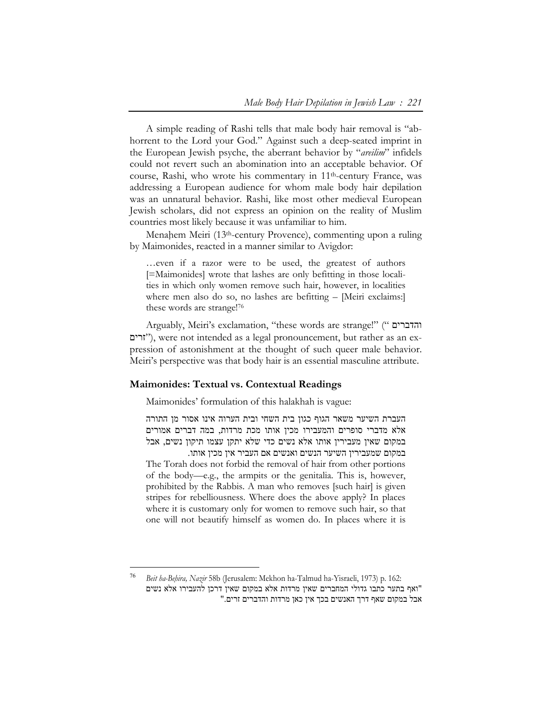A simple reading of Rashi tells that male body hair removal is "abhorrent to the Lord your God." Against such a deep-seated imprint in the European Jewish psyche, the aberrant behavior by "*areilim*" infidels could not revert such an abomination into an acceptable behavior. Of course, Rashi, who wrote his commentary in 11th-century France, was addressing a European audience for whom male body hair depilation was an unnatural behavior. Rashi, like most other medieval European Jewish scholars, did not express an opinion on the reality of Muslim countries most likely because it was unfamiliar to him.

Menahem Meiri (13<sup>th</sup>-century Provence), commenting upon a ruling by Maimonides, reacted in a manner similar to Avigdor:

…even if a razor were to be used, the greatest of authors [=Maimonides] wrote that lashes are only befitting in those localities in which only women remove such hair, however, in localities where men also do so, no lashes are befitting – [Meiri exclaims:] these words are strange!76

Arguably, Meiri's exclamation, "these words are strange!" (" והדברים זרים(", were not intended as a legal pronouncement, but rather as an expression of astonishment at the thought of such queer male behavior. Meiri's perspective was that body hair is an essential masculine attribute.

#### **Maimonides: Textual vs. Contextual Readings**

 $\overline{a}$ 

Maimonides' formulation of this halakhah is vague:

העברת השיער משאר הגוף כגון בית השחי ובית הערוה אינו אסור מן התורה אלא מדברי סופרים והמעבירו מכין אותו מכת מרדות, במה דברים אמורים במקום שאין מעבירין אותו אלא נשים כדי שלא יתקן עצמו תיקון נשים, אבל

במקום שמעבירין השיער הנשים ואנשים אם העביר אין מכין אותו. The Torah does not forbid the removal of hair from other portions of the body—e.g., the armpits or the genitalia. This is, however, prohibited by the Rabbis. A man who removes [such hair] is given stripes for rebelliousness. Where does the above apply? In places where it is customary only for women to remove such hair, so that one will not beautify himself as women do. In places where it is

<sup>76</sup> *Beit ha-Beḥira, Nazir* 58b (Jerusalem: Mekhon ha-Talmud ha-Yisraeli, 1973) p. 162: "ואף בתער כתבו גדולי המחברים שאין מרדות אלא במקום שאין דרכן להעבירו אלא נשים אבל במקום שאף דרך האנשים בכך אין כאן מרדות והדברים זרים."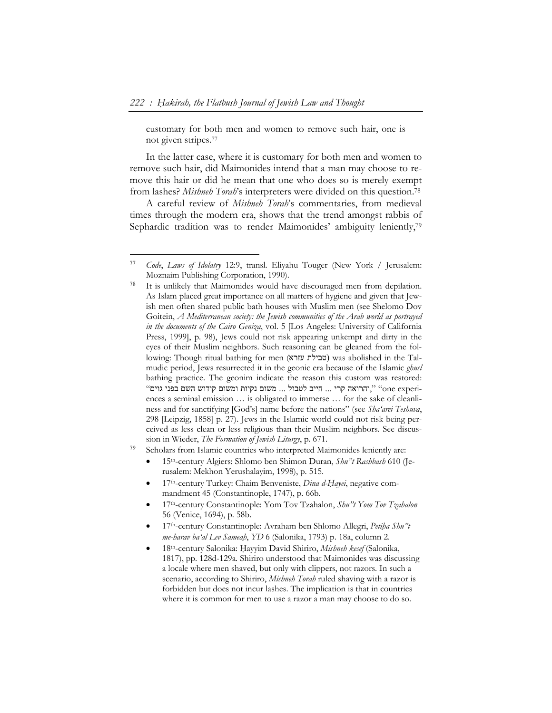$\ddot{\phantom{a}}$ 

customary for both men and women to remove such hair, one is not given stripes.77

In the latter case, where it is customary for both men and women to remove such hair, did Maimonides intend that a man may choose to remove this hair or did he mean that one who does so is merely exempt from lashes? *Mishneh Torah*'s interpreters were divided on this question.78

A careful review of *Mishneh Torah*'s commentaries, from medieval times through the modern era, shows that the trend amongst rabbis of Sephardic tradition was to render Maimonides' ambiguity leniently,<sup>79</sup>

- <sup>79</sup> Scholars from Islamic countries who interpreted Maimonides leniently are:
	- 15th-century Algiers: Shlomo ben Shimon Duran, *Shu"t Rashbash* 610 (Jerusalem: Mekhon Yerushalayim, 1998), p. 515.
	- 17th-century Turkey: Chaim Benveniste, *Dina d-Ḥayei*, negative commandment 45 (Constantinople, 1747), p. 66b.
	- 17th-century Constantinople: Yom Tov Tzahalon, *Shu"t Yom Tov Tzahalon* 56 (Venice, 1694), p. 58b.
	- 17th-century Constantinople: Avraham ben Shlomo Allegri, *Petiḥa Shu"t me-harav ba'al Lev Sameaḥ*, *YD* 6 (Salonika, 1793) p. 18a, column 2.
	- 18th-century Salonika: Ḥayyim David Shiriro, *Mishneh kesef* (Salonika, 1817), pp. 128d-129a*.* Shiriro understood that Maimonides was discussing a locale where men shaved, but only with clippers, not razors. In such a scenario, according to Shiriro, *Mishneh Torah* ruled shaving with a razor is forbidden but does not incur lashes. The implication is that in countries where it is common for men to use a razor a man may choose to do so.

<sup>77</sup> *Code*, *Laws of Idolatry* 12:9, transl. Eliyahu Touger (New York / Jerusalem: Moznaim Publishing Corporation, 1990).

<sup>78</sup> It is unlikely that Maimonides would have discouraged men from depilation. As Islam placed great importance on all matters of hygiene and given that Jewish men often shared public bath houses with Muslim men (see Shelomo Dov Goitein, *A Mediterranean society: the Jewish communities of the Arab world as portrayed in the documents of the Cairo Geniza*, vol. 5 [Los Angeles: University of California Press, 1999], p. 98), Jews could not risk appearing unkempt and dirty in the eyes of their Muslim neighbors. Such reasoning can be gleaned from the following: Though ritual bathing for men (עזרא טבילת (was abolished in the Talmudic period, Jews resurrected it in the geonic era because of the Islamic *ghusl* bathing practice. The geonim indicate the reason this custom was restored: הרואה קרי ... חייב לטבול ... משום נקיות ומשום קידוש השם בפני גוים"). היה השל השם הידוש השם הים ה ences a seminal emission … is obligated to immerse … for the sake of cleanliness and for sanctifying [God's] name before the nations" (see *Sha'arei Teshuva*, 298 [Leipzig, 1858] p. 27). Jews in the Islamic world could not risk being perceived as less clean or less religious than their Muslim neighbors. See discussion in Wieder, *The Formation of Jewish Liturgy*, p. 671.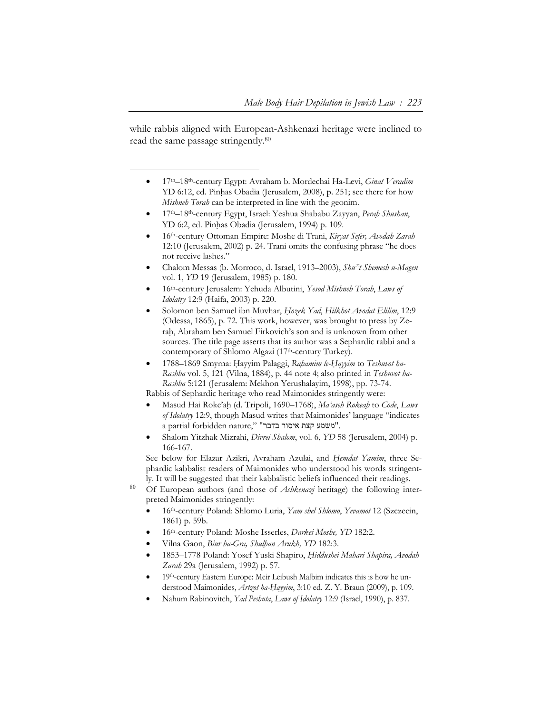while rabbis aligned with European-Ashkenazi heritage were inclined to read the same passage stringently.80

-

- 17th–18th-century Egypt: Avraham b. Mordechai Ha-Levi, *Ginat Veradim* YD 6:12, ed. Pinhas Obadia (Jerusalem, 2008), p. 251; see there for how *Mishneh Torah* can be interpreted in line with the geonim.
- 17th–18th-century Egypt, Israel: Yeshua Shababu Zayyan, *Peraḥ Shushan*, YD 6:2, ed. Pinhas Obadia (Jerusalem, 1994) p. 109.
- 16th-century Ottoman Empire: Moshe di Trani, *Kiryat Sefer, Avodah Zarah*  12:10 (Jerusalem, 2002) p. 24. Trani omits the confusing phrase "he does not receive lashes."
- Chalom Messas (b. Morroco, d. Israel, 1913–2003), *Shu"t Shemesh u-Magen* vol. 1, *YD* 19 (Jerusalem, 1985) p. 180.
- 16th-century Jerusalem: Yehuda Albutini, *Yesod Mishneh Torah*, *Laws of Idolatry* 12:9 (Haifa, 2003) p. 220.
- Solomon ben Samuel ibn Muvhar, *Ḥozek Yad*, *Hilkhot Avodat Elilim*, 12:9 (Odessa, 1865), p. 72. This work, however, was brought to press by Zerah, Abraham ben Samuel Firkovich's son and is unknown from other sources. The title page asserts that its author was a Sephardic rabbi and a contemporary of Shlomo Algazi (17th-century Turkey).
- 1788–1869 Smyrna: Ḥayyim Palaggi, *Raḥamim le-Ḥayyim* to *Teshuvot ha-Rashba* vol. 5, 121 (Vilna, 1884), p. 44 note 4; also printed in *Teshuvot ha-Rashba* 5:121 (Jerusalem: Mekhon Yerushalayim, 1998), pp. 73-74.

Rabbis of Sephardic heritage who read Maimonides stringently were:

- Masud Hai Roke'aḥ (d. Tripoli, 1690–1768), *Ma'aseh Rokeaḥ* to *Code*, *Laws of Idolatry* 12:9, though Masud writes that Maimonides' language "indicates a partial forbidden nature," "משמע קצת איסור בדבר".
- Shalom Yitzhak Mizrahi, *Divrei Shalom*, vol. 6, *YD* 58 (Jerusalem, 2004) p. 166-167.

See below for Elazar Azikri, Avraham Azulai, and *Ḥemdat Yamim*, three Sephardic kabbalist readers of Maimonides who understood his words stringently. It will be suggested that their kabbalistic beliefs influenced their readings.

- <sup>80</sup> Of European authors (and those of *Ashkenazi* heritage) the following interpreted Maimonides stringently:
	- 16th-century Poland: Shlomo Luria, *Yam shel Shlomo*, *Yevamot* 12 (Szczecin, 1861) p. 59b.
	- 16th-century Poland: Moshe Isserles, *Darkei Moshe, YD* 182:2.
	- Vilna Gaon, *Biur ha-Gra, Shulḥan Arukh, YD* 182:3.
	- 1853–1778 Poland: Yosef Yuski Shapiro, *Ḥiddushei Mahari Shapira, Avodah Zarah* 29a (Jerusalem, 1992) p. 57.
	- 19th-century Eastern Europe: Meir Leibush Malbim indicates this is how he understood Maimonides, *Artzot ha-Ḥayyim*, 3:10 ed. Z. Y. Braun (2009), p. 109.
	- Nahum Rabinovitch, *Yad Peshuta*, *Laws of Idolatry* 12:9 (Israel, 1990), p. 837.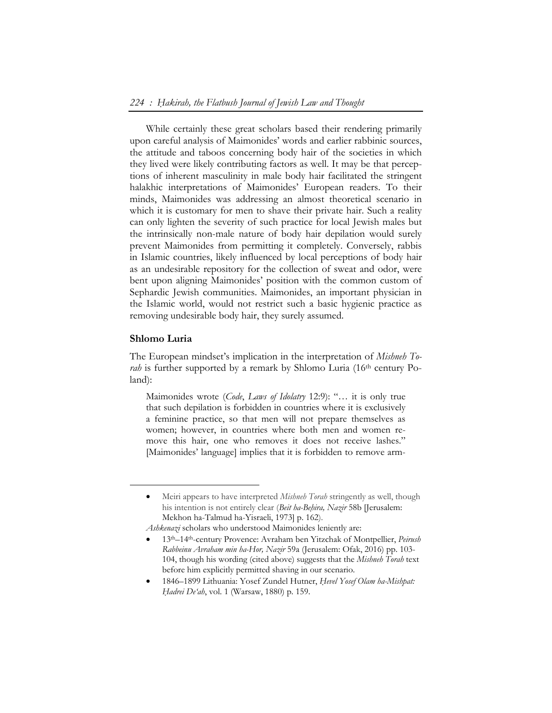While certainly these great scholars based their rendering primarily upon careful analysis of Maimonides' words and earlier rabbinic sources, the attitude and taboos concerning body hair of the societies in which they lived were likely contributing factors as well. It may be that perceptions of inherent masculinity in male body hair facilitated the stringent halakhic interpretations of Maimonides' European readers. To their minds, Maimonides was addressing an almost theoretical scenario in which it is customary for men to shave their private hair. Such a reality can only lighten the severity of such practice for local Jewish males but the intrinsically non-male nature of body hair depilation would surely prevent Maimonides from permitting it completely. Conversely, rabbis in Islamic countries, likely influenced by local perceptions of body hair as an undesirable repository for the collection of sweat and odor, were bent upon aligning Maimonides' position with the common custom of Sephardic Jewish communities. Maimonides, an important physician in the Islamic world, would not restrict such a basic hygienic practice as removing undesirable body hair, they surely assumed.

#### **Shlomo Luria**

 $\ddot{\phantom{a}}$ 

The European mindset's implication in the interpretation of *Mishneh Torah* is further supported by a remark by Shlomo Luria (16<sup>th</sup> century Poland):

Maimonides wrote (*Code*, *Laws of Idolatry* 12:9): "… it is only true that such depilation is forbidden in countries where it is exclusively a feminine practice, so that men will not prepare themselves as women; however, in countries where both men and women remove this hair, one who removes it does not receive lashes." [Maimonides' language] implies that it is forbidden to remove arm-

Meiri appears to have interpreted *Mishneh Torah* stringently as well, though his intention is not entirely clear (*Beit ha-Beḥira, Nazir* 58b [Jerusalem: Mekhon ha-Talmud ha-Yisraeli, 1973] p. 162).

*Ashkenazi* scholars who understood Maimonides leniently are:

13th–14th-century Provence: Avraham ben Yitzchak of Montpellier, *Peirush Rabbeinu Avraham min ha-Hor, Nazir* 59a (Jerusalem: Ofak, 2016) pp. 103- 104, though his wording (cited above) suggests that the *Mishneh Torah* text before him explicitly permitted shaving in our scenario.

1846–1899 Lithuania: Yosef Zundel Hutner, *Ḥevel Yosef Olam ha-Mishpat: Ḥadrei De'ah*, vol. 1 (Warsaw, 1880) p. 159.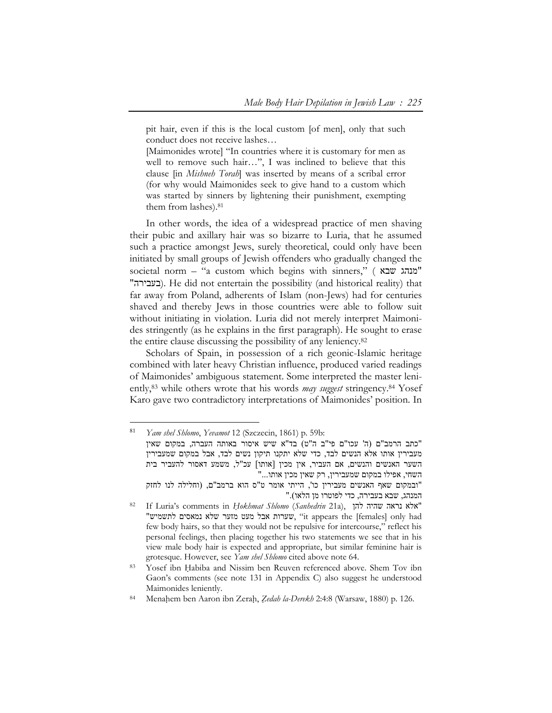pit hair, even if this is the local custom [of men], only that such conduct does not receive lashes…

[Maimonides wrote] "In countries where it is customary for men as well to remove such hair…", I was inclined to believe that this clause [in *Mishneh Torah*] was inserted by means of a scribal error (for why would Maimonides seek to give hand to a custom which was started by sinners by lightening their punishment, exempting them from lashes).81

In other words, the idea of a widespread practice of men shaving their pubic and axillary hair was so bizarre to Luria, that he assumed such a practice amongst Jews, surely theoretical, could only have been initiated by small groups of Jewish offenders who gradually changed the societal norm – "a custom which begins with sinners," ( שבא מנהג" "בעבירה(. He did not entertain the possibility (and historical reality) that far away from Poland, adherents of Islam (non-Jews) had for centuries shaved and thereby Jews in those countries were able to follow suit without initiating in violation. Luria did not merely interpret Maimonides stringently (as he explains in the first paragraph). He sought to erase the entire clause discussing the possibility of any leniency.82

Scholars of Spain, in possession of a rich geonic-Islamic heritage combined with later heavy Christian influence, produced varied readings of Maimonides' ambiguous statement. Some interpreted the master leniently,83 while others wrote that his words *may suggest* stringency.84 Yosef Karo gave two contradictory interpretations of Maimonides' position. In

<sup>81</sup> *Yam shel Shlomo*, *Yevamot* 12 (Szczecin, 1861) p. 59b: "כתב הרמב"ם (ה' עכו"ם פי"ב ה"ט) בד"א שיש איסור באותה העברה, במקום שאין מעבירין אותו אלא הנשים לבד, כדי שלא יתקנו תיקון נשים לבד, אבל במקום שמעבירין השער האנשים והנשים, אם העביר, אין מכין [אותו] עכ"ל, משמע דאסור להעביר בית השחי, אפילו במקום שמעבירין, רק שאין מכין אותו..."

<sup>&</sup>quot;ובמקום שאף האנשים מעבירין כו', הייתי אומר ט"ס הוא ברמב"ם, (וחלילה לנו לחזק "אלא נראה שהיה להן ,(a21 *Sanhedrin* (*Shlomo okhmaṭH* in comments s'Luria If 82 המנהג, שבא בעבירה, כדי לפוטרו מן הלאו)."

<sup>&</sup>quot;שערות אבל מעט מזער שלא נמאסים לתשמיש", "it appears the [females] only had few body hairs, so that they would not be repulsive for intercourse," reflect his personal feelings, then placing together his two statements we see that in his view male body hair is expected and appropriate, but similar feminine hair is

grotesque. However, see *Yam shel Shlomo* cited above note 64.<br><sup>83</sup> Yosef ibn Habiba and Nissim ben Reuven referenced above. Shem Tov ibn Gaon's comments (see note 131 in Appendix C) also suggest he understood Maimonides leniently.<br><sup>84</sup> Menahem ben Aaron ibn Zerah, *Zedah la-Derekh* 2:4:8 (Warsaw, 1880) p. 126.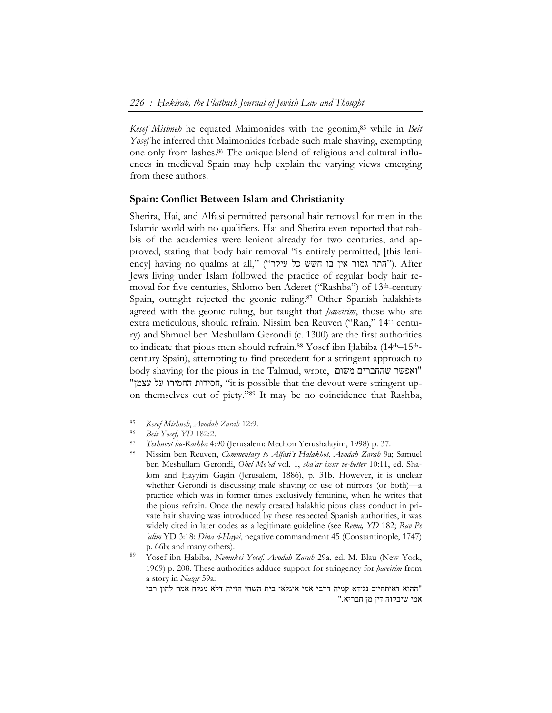*Kesef Mishneh* he equated Maimonides with the geonim,85 while in *Beit Yosef* he inferred that Maimonides forbade such male shaving, exempting one only from lashes.86 The unique blend of religious and cultural influences in medieval Spain may help explain the varying views emerging from these authors.

#### **Spain: Conflict Between Islam and Christianity**

Sherira, Hai, and Alfasi permitted personal hair removal for men in the Islamic world with no qualifiers. Hai and Sherira even reported that rabbis of the academies were lenient already for two centuries, and approved, stating that body hair removal "is entirely permitted, [this leniency] having no qualms at all," ("יהתר גמור אין בו חשש כל עיקר"). After Jews living under Islam followed the practice of regular body hair removal for five centuries, Shlomo ben Aderet ("Rashba") of 13th-century Spain, outright rejected the geonic ruling.<sup>87</sup> Other Spanish halakhists agreed with the geonic ruling, but taught that *ḥaveirim*, those who are extra meticulous, should refrain. Nissim ben Reuven ("Ran," 14th century) and Shmuel ben Meshullam Gerondi (c. 1300) are the first authorities to indicate that pious men should refrain.<sup>88</sup> Yosef ibn Habiba (14<sup>th–15th</sup>century Spain), attempting to find precedent for a stringent approach to body shaving for the pious in the Talmud, wrote, משום שהחברים ואפשר" "עצמן על החמירו חסידות," it is possible that the devout were stringent upon themselves out of piety."89 It may be no coincidence that Rashba,

<sup>85</sup> *Kesef Mishneh*, *Avodah Zarah* 12:9.

<sup>86</sup> *Beit Yosef, YD* 182:2. 87 *Teshuvot ha-Rashba* 4:90 (Jerusalem: Mechon Yerushalayim, 1998) p. 37. 88 Nissim ben Reuven, *Commentary to Alfasi's Halakhot*, *Avodah Zarah* 9a; Samuel ben Meshullam Gerondi, *Ohel Mo'ed* vol. 1, *sha'ar issur ve-hetter* 10:11, ed. Shalom and Hayyim Gagin (Jerusalem, 1886), p. 31b. However, it is unclear whether Gerondi is discussing male shaving or use of mirrors (or both)—a practice which was in former times exclusively feminine, when he writes that the pious refrain. Once the newly created halakhic pious class conduct in private hair shaving was introduced by these respected Spanish authorities, it was widely cited in later codes as a legitimate guideline (see *Rema, YD* 182; *Rav Pe 'alim* YD 3:18; *Dina d-Ḥayei*, negative commandment 45 (Constantinople, 1747) p. 66b; and many others).

<sup>89</sup> Yosef ibn Ḥabiba, *Nemukei Yosef*, *Avodah Zarah* 29a, ed. M. Blau (New York, 1969) p. 208. These authorities adduce support for stringency for *ḥaveirim* from a story in *Nazir* 59a:

<sup>&</sup>quot;ההוא דאיתחייב נגידא קמיה דרבי אמי איגלאי בית השחי חזייה דלא מגלח אמר להון רבי אמי שיבקוה דין מן חבריא."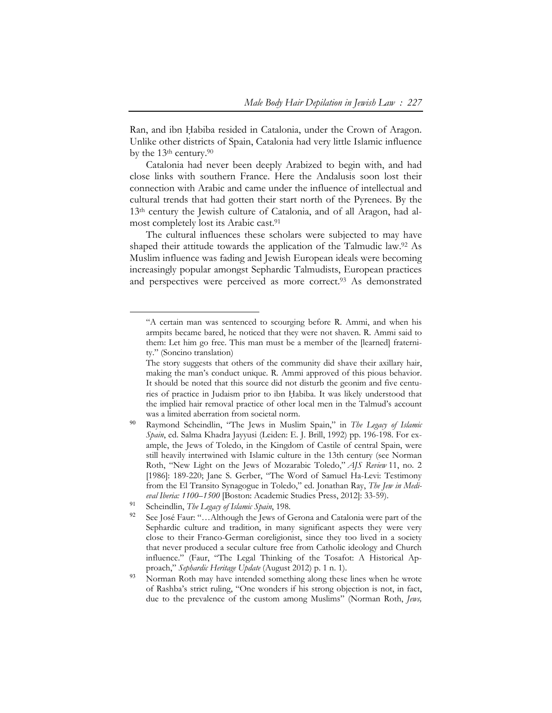Ran, and ibn Habiba resided in Catalonia, under the Crown of Aragon. Unlike other districts of Spain, Catalonia had very little Islamic influence by the 13th century.90

Catalonia had never been deeply Arabized to begin with, and had close links with southern France. Here the Andalusis soon lost their connection with Arabic and came under the influence of intellectual and cultural trends that had gotten their start north of the Pyrenees. By the 13th century the Jewish culture of Catalonia, and of all Aragon, had almost completely lost its Arabic cast.91

The cultural influences these scholars were subjected to may have shaped their attitude towards the application of the Talmudic law.92 As Muslim influence was fading and Jewish European ideals were becoming increasingly popular amongst Sephardic Talmudists, European practices and perspectives were perceived as more correct.<sup>93</sup> As demonstrated

<sup>&</sup>quot;A certain man was sentenced to scourging before R. Ammi, and when his armpits became bared, he noticed that they were not shaven. R. Ammi said to them: Let him go free. This man must be a member of the [learned] fraternity." (Soncino translation)

The story suggests that others of the community did shave their axillary hair, making the man's conduct unique. R. Ammi approved of this pious behavior. It should be noted that this source did not disturb the geonim and five centuries of practice in Judaism prior to ibn Habiba. It was likely understood that the implied hair removal practice of other local men in the Talmud's account was a limited aberration from societal norm.

Raymond Scheindlin, "The Jews in Muslim Spain," in *The Legacy of Islamic Spain*, ed. Salma Khadra Jayyusi (Leiden: E. J. Brill, 1992) pp. 196-198. For example, the Jews of Toledo, in the Kingdom of Castile of central Spain, were still heavily intertwined with Islamic culture in the 13th century (see Norman Roth, "New Light on the Jews of Mozarabic Toledo," *AJS Review* 11, no. 2 [1986]: 189-220; Jane S. Gerber, "The Word of Samuel Ha-Levi: Testimony from the El Transito Synagogue in Toledo," ed. Jonathan Ray, *The Jew in Medieval Iberia: 1100–1500* [Boston: Academic Studies Press, 2012]: 33-59).

<sup>91</sup> Scheindlin, *The Legacy of Islamic Spain*, 198.

<sup>&</sup>lt;sup>92</sup> See José Faur: "...Although the Jews of Gerona and Catalonia were part of the Sephardic culture and tradition, in many significant aspects they were very close to their Franco-German coreligionist, since they too lived in a society that never produced a secular culture free from Catholic ideology and Church influence." (Faur, "The Legal Thinking of the Tosafot: A Historical Approach," *Sephardic Heritage Update* (August 2012) p. 1 n. 1).

<sup>&</sup>lt;sup>93</sup> Norman Roth may have intended something along these lines when he wrote of Rashba's strict ruling, "One wonders if his strong objection is not, in fact, due to the prevalence of the custom among Muslims" (Norman Roth, *Jews,*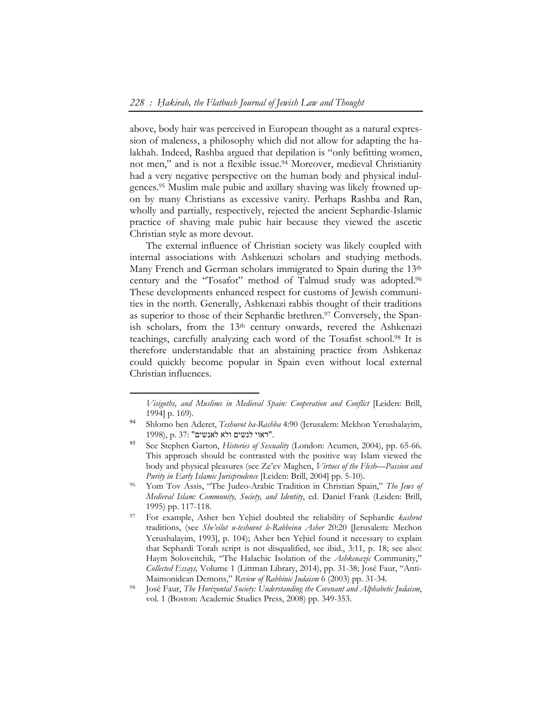above, body hair was perceived in European thought as a natural expression of maleness, a philosophy which did not allow for adapting the halakhah. Indeed, Rashba argued that depilation is "only befitting women, not men," and is not a flexible issue.<sup>94</sup> Moreover, medieval Christianity had a very negative perspective on the human body and physical indulgences.95 Muslim male pubic and axillary shaving was likely frowned upon by many Christians as excessive vanity. Perhaps Rashba and Ran, wholly and partially, respectively, rejected the ancient Sephardic-Islamic practice of shaving male pubic hair because they viewed the ascetic Christian style as more devout.

The external influence of Christian society was likely coupled with internal associations with Ashkenazi scholars and studying methods. Many French and German scholars immigrated to Spain during the 13<sup>th</sup> century and the "Tosafot" method of Talmud study was adopted.96 These developments enhanced respect for customs of Jewish communities in the north. Generally, Ashkenazi rabbis thought of their traditions as superior to those of their Sephardic brethren.<sup>97</sup> Conversely, the Spanish scholars, from the 13th century onwards, revered the Ashkenazi teachings, carefully analyzing each word of the Tosafist school.98 It is therefore understandable that an abstaining practice from Ashkenaz could quickly become popular in Spain even without local external Christian influences.

*Visigoths, and Muslims in Medieval Spain: Cooperation and Conflict* [Leiden: Brill, 1994] p. 169).

<sup>94</sup> Shlomo ben Aderet, *Teshuvot ha-Rashba* 4:90 (Jerusalem: Mekhon Yerushalayim, 1998), p. 37: "ראוי לנשים ולא לאנשים".

<sup>95</sup> See Stephen Garton, *Histories of Sexuality* (London: Acumen, 2004), pp. 65-66. This approach should be contrasted with the positive way Islam viewed the body and physical pleasures (see Ze'ev Maghen, *Virtues of the Flesh—Passion and* 

*Purity in Early Islamic Jurisprudence* [Leiden: Brill, 2004] pp. 5-10).<br><sup>96</sup> Yom Tov Assis, "The Judeo-Arabic Tradition in Christian Spain," *The Jews of Medieval Islam: Community, Society, and Identity*, ed. Daniel Frank (Leiden: Brill, 1995) pp. 117-118.<br>For example, Asher ben Yehiel doubted the reliability of Sephardic *kashrut* 

traditions, (see *She'eilot u-teshuvot le-Rabbeinu Asher* 20:20 [Jerusalem: Mechon Yerushalayim, 1993], p. 104); Asher ben Yehiel found it necessary to explain that Sephardi Torah script is not disqualified, see ibid*.*, 3:11, p. 18; see also: Haym Soloveitchik, "The Halachic Isolation of the *Ashkenazic* Community," *Collected Essays,* Volume 1 (Littman Library, 2014), pp. 31-38; José Faur, "Anti-

José Faur, *The Horizontal Society: Understanding the Covenant and Alphabetic Judaism*, vol. 1 (Boston: Academic Studies Press, 2008) pp. 349-353.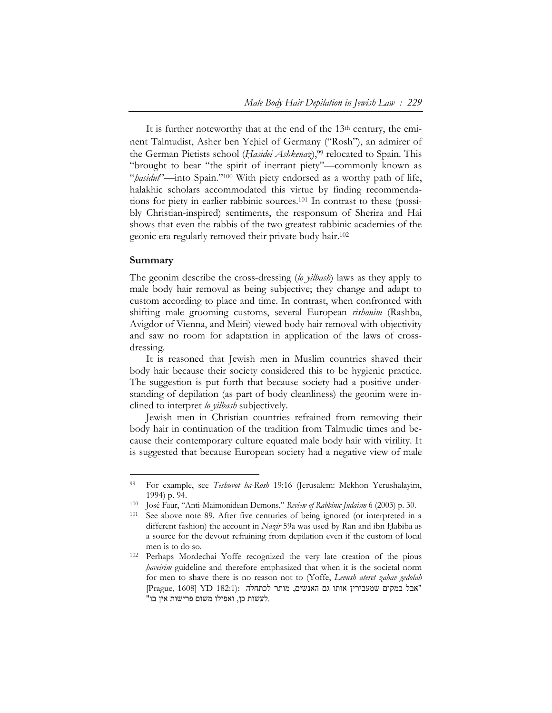It is further noteworthy that at the end of the 13<sup>th</sup> century, the eminent Talmudist, Asher ben Yehiel of Germany ("Rosh"), an admirer of the German Pietists school (*Ḥasidei Ashkenaz*),99 relocated to Spain. This "brought to bear "the spirit of inerrant piety"—commonly known as "*hasidut*"—into Spain."<sup>100</sup> With piety endorsed as a worthy path of life, halakhic scholars accommodated this virtue by finding recommendations for piety in earlier rabbinic sources.101 In contrast to these (possibly Christian-inspired) sentiments, the responsum of Sherira and Hai shows that even the rabbis of the two greatest rabbinic academies of the geonic era regularly removed their private body hair.102

#### **Summary**

 $\ddot{\phantom{a}}$ 

The geonim describe the cross-dressing (*lo yilbash*) laws as they apply to male body hair removal as being subjective; they change and adapt to custom according to place and time. In contrast, when confronted with shifting male grooming customs, several European *rishonim* (Rashba, Avigdor of Vienna, and Meiri) viewed body hair removal with objectivity and saw no room for adaptation in application of the laws of crossdressing.

It is reasoned that Jewish men in Muslim countries shaved their body hair because their society considered this to be hygienic practice. The suggestion is put forth that because society had a positive understanding of depilation (as part of body cleanliness) the geonim were inclined to interpret *lo yilbash* subjectively.

Jewish men in Christian countries refrained from removing their body hair in continuation of the tradition from Talmudic times and because their contemporary culture equated male body hair with virility. It is suggested that because European society had a negative view of male

<sup>99</sup> For example, see *Teshuvot ha-Rosh* 19:16 (Jerusalem: Mekhon Yerushalayim, 1994) p. 94. 100 José Faur, "Anti-Maimonidean Demons," *Review of Rabbinic Judaism* 6 (2003) p. 30.

<sup>101</sup> See above note 89. After five centuries of being ignored (or interpreted in a different fashion) the account in *Nazir* 59a was used by Ran and ibn Habiba as a source for the devout refraining from depilation even if the custom of local men is to do so.<br><sup>102</sup> Perhaps Mordechai Yoffe recognized the very late creation of the pious

*haveirim* guideline and therefore emphasized that when it is the societal norm for men to shave there is no reason not to (Yoffe, *Levush ateret zahav gedolah*  "אבל במקום שמעבירין אותו גם האנשים, מותר לכתחלה :(182:1 YD] 1608 ,Prague[ .לעשות כן, ואפילו משום פרישות אין בו"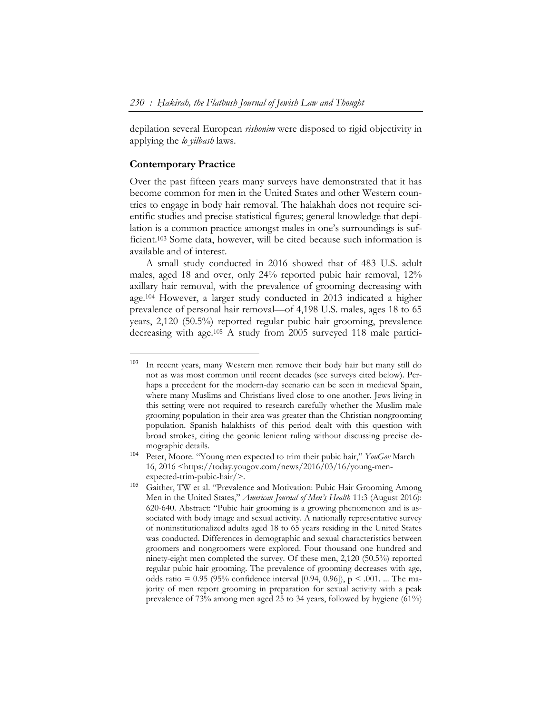depilation several European *rishonim* were disposed to rigid objectivity in applying the *lo yilbash* laws.

# **Contemporary Practice**

 $\overline{a}$ 

Over the past fifteen years many surveys have demonstrated that it has become common for men in the United States and other Western countries to engage in body hair removal. The halakhah does not require scientific studies and precise statistical figures; general knowledge that depilation is a common practice amongst males in one's surroundings is sufficient.103 Some data, however, will be cited because such information is available and of interest.

A small study conducted in 2016 showed that of 483 U.S. adult males, aged 18 and over, only 24% reported pubic hair removal, 12% axillary hair removal, with the prevalence of grooming decreasing with age.104 However, a larger study conducted in 2013 indicated a higher prevalence of personal hair removal—of 4,198 U.S. males, ages 18 to 65 years, 2,120 (50.5%) reported regular pubic hair grooming, prevalence decreasing with age.105 A study from 2005 surveyed 118 male partici-

<sup>103</sup> In recent years, many Western men remove their body hair but many still do not as was most common until recent decades (see surveys cited below). Perhaps a precedent for the modern-day scenario can be seen in medieval Spain, where many Muslims and Christians lived close to one another. Jews living in this setting were not required to research carefully whether the Muslim male grooming population in their area was greater than the Christian nongrooming population. Spanish halakhists of this period dealt with this question with broad strokes, citing the geonic lenient ruling without discussing precise demographic details.

<sup>104</sup> Peter, Moore. "Young men expected to trim their pubic hair," *YouGov* March 16, 2016 <https://today.yougov.com/news/2016/03/16/young-menexpected-trim-pubic-hair/>.

<sup>105</sup> Gaither, TW et al. "Prevalence and Motivation: Pubic Hair Grooming Among Men in the United States," *American Journal of Men's Health* 11:3 (August 2016): 620-640. Abstract: "Pubic hair grooming is a growing phenomenon and is associated with body image and sexual activity. A nationally representative survey of noninstitutionalized adults aged 18 to 65 years residing in the United States was conducted. Differences in demographic and sexual characteristics between groomers and nongroomers were explored. Four thousand one hundred and ninety-eight men completed the survey. Of these men, 2,120 (50.5%) reported regular pubic hair grooming. The prevalence of grooming decreases with age, odds ratio =  $0.95$  (95% confidence interval [0.94, 0.96]), p < .001. ... The majority of men report grooming in preparation for sexual activity with a peak prevalence of 73% among men aged 25 to 34 years, followed by hygiene (61%)